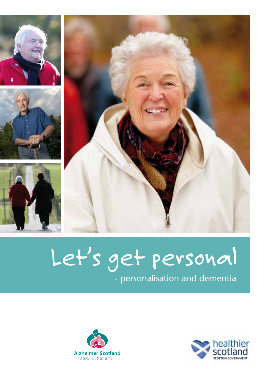







# Let's get personal

- personalisation and dementia



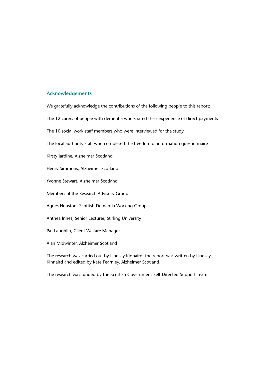#### **Acknowledgements**

We gratefully acknowledge the contributions of the following people to this report:

The 12 carers of people with dementia who shared their experience of direct payments

The 10 social work staff members who were interviewed for the study

The local authority staff who completed the freedom of information questionnaire

Kirsty Jardine, Alzheimer Scotland

Henry Simmons, Alzheimer Scotland

Yvonne Stewart, Alzheimer Scotland

Members of the Research Advisory Group:

Agnes Houston, Scottish Dementia Working Group

Anthea Innes, Senior Lecturer, Stirling University

Pat Laughlin, Client Welfare Manager

Alan Midwinter, Alzheimer Scotland

The research was carried out by Lindsay Kinnaird; the report was written by Lindsay Kinnaird and edited by Kate Fearnley, Alzheimer Scotland.

The research was funded by the Scottish Government Self-Directed Support Team.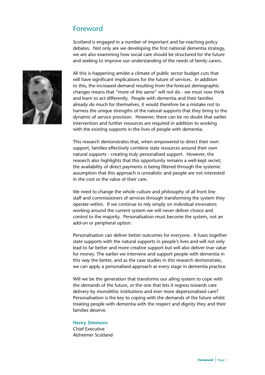# Foreword

Scotland is engaged in a number of important and far-reaching policy debates. Not only are we developing the first national dementia strategy, we are also examining how social care should be structured for the future and seeking to improve our understanding of the needs of family carers.



All this is happening amidst a climate of public sector budget cuts that will have significant implications for the future of services. In addition to this, the increased demand resulting from the forecast demographic changes means that "more of the same" will not do - we must now think and learn to act differently. People with dementia and their families already do much for themselves; it would therefore be a mistake not to harness the unique strengths of the natural supports that they bring to the dynamic of service provision. However, there can be no doubt that earlier intervention and further resources are required in addition to working with the existing supports in the lives of people with dementia.

This research demonstrates that, when empowered to direct their own support, families effectively combine state resources around their own natural supports - creating truly personalised support. However, the research also highlights that this opportunity remains a well-kept secret; the availability of direct payments is being filtered through the systemic assumption that this approach is unrealistic and people are not interested in the cost or the value of their care.

We need to change the whole culture and philosophy of all front line staff and commissioners of services through transforming the system they operate within. If we continue to rely simply on individual innovators working around the current system we will never deliver choice and control to the majority. Personalisation must become the system, not an add-on or peripheral option.

Personalisation can deliver better outcomes for everyone. It fuses together state supports with the natural supports in people's lives and will not only lead to far better and more creative support but will also deliver true value for money. The earlier we intervene and support people with dementia in this way the better, and as the case studies in this research demonstrate, we can apply a personalised approach at every stage in dementia practice.

Will we be the generation that transforms our ailing system to cope with the demands of the future, or the one that lets it regress towards care delivery by monolithic institutions and ever more depersonalised care? Personalisation is the key to coping with the demands of the future whilst treating people with dementia with the respect and dignity they and their families deserve.

#### **Henry Simmons**

Chief Executive Alzheimer Scotland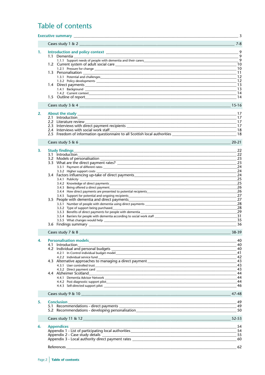# Table of contents

|          | $_{-}$ 3<br><b>Executive summary Executive summary</b>                                                                                                                                                                                                             |                                                                                                                                             |  |
|----------|--------------------------------------------------------------------------------------------------------------------------------------------------------------------------------------------------------------------------------------------------------------------|---------------------------------------------------------------------------------------------------------------------------------------------|--|
|          | Cases study $1 & 2$                                                                                                                                                                                                                                                | $7 - 8$                                                                                                                                     |  |
| 1.<br>2. | 1.2 Current system of adult social care<br>2.2 Literature review<br>2.4 Interviews with social work staff                                                                                                                                                          | $\overline{9}$<br>$-9$<br>$\overline{9}$<br>-10<br>-10<br>-11<br>12<br>12<br>13<br>13<br>14<br>-14<br>15-16<br>17<br>17<br>-18<br>$20 - 21$ |  |
| 3.       | <b>Study findings</b><br>3.1 Introduction                                                                                                                                                                                                                          | 22<br>22<br>23                                                                                                                              |  |
|          | 3.3.2 Higher support costs                                                                                                                                                                                                                                         | 23<br>24<br>24                                                                                                                              |  |
|          | 3.4 Factors influencing up-take of direct payments______________________________<br>3.4.3 Being offered a direct payment                                                                                                                                           | 24<br>25<br>25<br>26                                                                                                                        |  |
|          | 3.5.2 Type of support being purchased                                                                                                                                                                                                                              | 26<br>27<br>27<br>28<br>28<br>29<br>31                                                                                                      |  |
|          |                                                                                                                                                                                                                                                                    | 35<br>36                                                                                                                                    |  |
|          | Cases study $7 \& 8$                                                                                                                                                                                                                                               | 38-39                                                                                                                                       |  |
| 4.       | 4.1 Introduction<br>4.2.2 Individual service fund _____________                                                                                                                                                                                                    | 40<br>40<br>40<br>41<br>42                                                                                                                  |  |
|          | <u> 1980 - Jan Berlin Berlin Berlin Berlin Berlin Berlin Berlin Berlin Berlin Berlin Berlin Berlin Berlin Berlin</u><br>4.3 Alternative approaches to managing a direct payment ________________________                                                           | 43<br>43<br>43                                                                                                                              |  |
|          |                                                                                                                                                                                                                                                                    | 44<br>44<br>-44<br>46                                                                                                                       |  |
|          | Cases study 9 & 10                                                                                                                                                                                                                                                 | 47-48                                                                                                                                       |  |
| 5.       | <b>Conclusion</b><br>5.2 Recommendations - developing personalisation                                                                                                                                                                                              | 49<br>49                                                                                                                                    |  |
|          |                                                                                                                                                                                                                                                                    | 52-53                                                                                                                                       |  |
|          | Cases study 11 & 12                                                                                                                                                                                                                                                |                                                                                                                                             |  |
| 6.       | <b>Appendices</b><br><u> 1989 - Jan James James Barnett, amerikansk politik (d. 1989)</u><br>Appendix 1 - List of participating local authorities<br>Appendix 2 - Case study details experience and a study details of the study of the study of the study details | 54<br>54<br>55                                                                                                                              |  |
|          |                                                                                                                                                                                                                                                                    |                                                                                                                                             |  |
|          |                                                                                                                                                                                                                                                                    |                                                                                                                                             |  |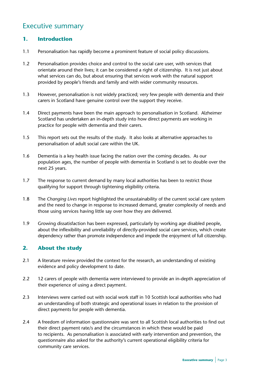# Executive summary

# **1. Introduction**

- 1.1 Personalisation has rapidly become a prominent feature of social policy discussions.
- 1.2 Personalisation provides choice and control to the social care user, with services that orientate around their lives; it can be considered a right of citizenship. It is not just about what services can do, but about ensuring that services work with the natural support provided by people's friends and family and with wider community resources.
- 1.3 However, personalisation is not widely practiced; very few people with dementia and their carers in Scotland have genuine control over the support they receive.
- 1.4 Direct payments have been the main approach to personalisation in Scotland. Alzheimer Scotland has undertaken an in-depth study into how direct payments are working in practice for people with dementia and their carers.
- 1.5 This report sets out the results of the study. It also looks at alternative approaches to personalisation of adult social care within the UK.
- 1.6 Dementia is a key health issue facing the nation over the coming decades. As our population ages, the number of people with dementia in Scotland is set to double over the next 25 years.
- 1.7 The response to current demand by many local authorities has been to restrict those qualifying for support through tightening eligibility criteria.
- 1.8 The *Changing Lives* report highlighted the unsustainability of the current social care system and the need to change in response to increased demand, greater complexity of needs and those using services having little say over how they are delivered.
- 1.9 Growing dissatisfaction has been expressed, particularly by working age disabled people, about the inflexibility and unreliability of directly-provided social care services, which create dependency rather than promote independence and impede the enjoyment of full citizenship.

# **2. About the study**

- 2.1 A literature review provided the context for the research, an understanding of existing evidence and policy development to date.
- 2.2 12 carers of people with dementia were interviewed to provide an in-depth appreciation of their experience of using a direct payment.
- 2.3 Interviews were carried out with social work staff in 10 Scottish local authorities who had an understanding of both strategic and operational issues in relation to the provision of direct payments for people with dementia.
- 2.4 A freedom of information questionnaire was sent to all Scottish local authorities to find out their direct payment rate/s and the circumstances in which these would be paid to recipients. As personalisation is associated with early intervention and prevention, the questionnaire also asked for the authority's current operational eligibility criteria for community care services.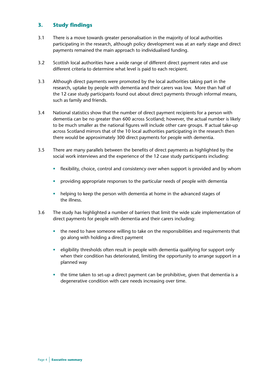# **3. Study findings**

- 3.1 There is a move towards greater personalisation in the majority of local authorities participating in the research, although policy development was at an early stage and direct payments remained the main approach to individualised funding.
- 3.2 Scottish local authorities have a wide range of different direct payment rates and use different criteria to determine what level is paid to each recipient.
- 3.3 Although direct payments were promoted by the local authorities taking part in the research, uptake by people with dementia and their carers was low. More than half of the 12 case study participants found out about direct payments through informal means, such as family and friends.
- 3.4 National statistics show that the number of direct payment recipients for a person with dementia can be no greater than 600 across Scotland; however, the actual number is likely to be much smaller as the national figures will include other care groups. If actual take-up across Scotland mirrors that of the 10 local authorities participating in the research then there would be approximately 300 direct payments for people with dementia.
- 3.5 There are many parallels between the benefits of direct payments as highlighted by the social work interviews and the experience of the 12 case study participants including:
	- flexibility, choice, control and consistency over when support is provided and by whom
	- providing appropriate responses to the particular needs of people with dementia
	- helping to keep the person with dementia at home in the advanced stages of the illness.
- 3.6 The study has highlighted a number of barriers that limit the wide scale implementation of direct payments for people with dementia and their carers including:
	- the need to have someone willing to take on the responsibilities and requirements that go along with holding a direct payment
	- eligibility thresholds often result in people with dementia qualifying for support only when their condition has deteriorated, limiting the opportunity to arrange support in a planned way
	- the time taken to set-up a direct payment can be prohibitive, given that dementia is a degenerative condition with care needs increasing over time.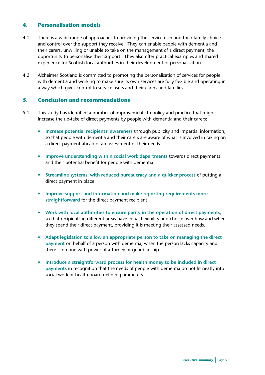# **4. Personalisation models**

- 4.1 There is a wide range of approaches to providing the service user and their family choice and control over the support they receive. They can enable people with dementia and their carers, unwilling or unable to take on the management of a direct payment, the opportunity to personalise their support. They also offer practical examples and shared experience for Scottish local authorities in their development of personalisation.
- 4.2 Alzheimer Scotland is committed to promoting the personalisation of services for people with dementia and working to make sure its own services are fully flexible and operating in a way which gives control to service users and their carers and families.

# **5. Conclusion and recommendations**

- 5.1 This study has identified a number of improvements to policy and practice that might increase the up-take of direct payments by people with dementia and their carers:
	- **Increase potential recipients' awareness** through publicity and impartial information, so that people with dementia and their carers are aware of what is involved in taking on a direct payment ahead of an assessment of their needs.
	- **Improve understanding within social work departments** towards direct payments and their potential benefit for people with dementia.
	- **Streamline systems, with reduced bureaucracy and a quicker process** of putting a direct payment in place.
	- **Improve support and information and make reporting requirements more straightforward** for the direct payment recipient.
	- **Work with local authorities to ensure parity in the operation of direct payments**, so that recipients in different areas have equal flexibility and choice over how and when they spend their direct payment, providing it is meeting their assessed needs.
	- **Adapt legislation to allow an appropriate person to take on managing the direct payment** on behalf of a person with dementia, when the person lacks capacity and there is no one with power of attorney or guardianship.
	- **Introduce a straightforward process for health money to be included in direct payments** in recognition that the needs of people with dementia do not fit neatly into social work or health board defined parameters.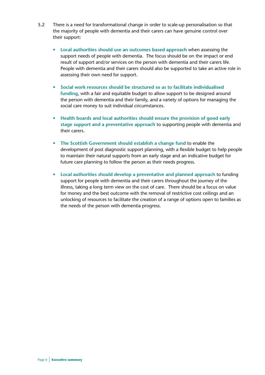- 5.2 There is a need for transformational change in order to scale-up personalisation so that the majority of people with dementia and their carers can have genuine control over their support:
	- **Local authorities should use an outcomes based approach** when assessing the support needs of people with dementia. The focus should be on the impact or end result of support and/or services on the person with dementia and their carers life. People with dementia and their carers should also be supported to take an active role in assessing their own need for support.
	- **Social work resources should be structured so as to facilitate individualised funding**, with a fair and equitable budget to allow support to be designed around the person with dementia and their family, and a variety of options for managing the social care money to suit individual circumstances.
	- **Health boards and local authorities should ensure the provision of good early stage support and a preventative approach** to supporting people with dementia and their carers.
	- **The Scottish Government should establish a change fund** to enable the development of post diagnostic support planning, with a flexible budget to help people to maintain their natural supports from an early stage and an indicative budget for future care planning to follow the person as their needs progress.
	- **Local authorities should develop a preventative and planned approach** to funding support for people with dementia and their carers throughout the journey of the illness, taking a long term view on the cost of care. There should be a focus on value for money and the best outcome with the removal of restrictive cost ceilings and an unlocking of resources to facilitate the creation of a range of options open to families as the needs of the person with dementia progress.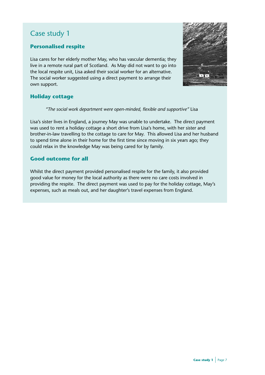# **Personalised respite**

Lisa cares for her elderly mother May, who has vascular dementia; they live in a remote rural part of Scotland. As May did not want to go into the local respite unit, Lisa asked their social worker for an alternative. The social worker suggested using a direct payment to arrange their own support.



# **Holiday cottage**

*"The social work department were open-minded, flexible and supportive"* Lisa

Lisa's sister lives in England, a journey May was unable to undertake. The direct payment was used to rent a holiday cottage a short drive from Lisa's home, with her sister and brother-in-law travelling to the cottage to care for May. This allowed Lisa and her husband to spend time alone in their home for the first time since moving in six years ago; they could relax in the knowledge May was being cared for by family.

# **Good outcome for all**

Whilst the direct payment provided personalised respite for the family, it also provided good value for money for the local authority as there were no care costs involved in providing the respite. The direct payment was used to pay for the holiday cottage, May's expenses, such as meals out, and her daughter's travel expenses from England.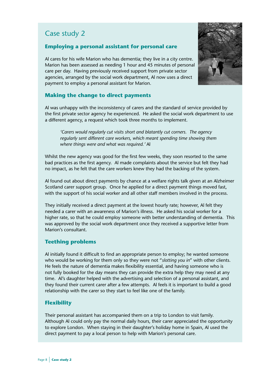# **Employing a personal assistant for personal care**

Al cares for his wife Marion who has dementia; they live in a city centre. Marion has been assessed as needing 1 hour and 45 minutes of personal care per day. Having previously received support from private sector agencies, arranged by the social work department, Al now uses a direct payment to employ a personal assistant for Marion.

# **Making the change to direct payments**

Al was unhappy with the inconsistency of carers and the standard of service provided by the first private sector agency he experienced. He asked the social work department to use a different agency, a request which took three months to implement.

*'Carers would regularly cut visits short and blatantly cut corners. The agency regularly sent different care workers, which meant spending time showing them where things were and what was required.'* Al

Whilst the new agency was good for the first few weeks, they soon resorted to the same bad practices as the first agency. Al made complaints about the service but felt they had no impact, as he felt that the care workers knew they had the backing of the system.

Al found out about direct payments by chance at a welfare rights talk given at an Alzheimer Scotland carer support group. Once he applied for a direct payment things moved fast, with the support of his social worker and all other staff members involved in the process.

They initially received a direct payment at the lowest hourly rate; however, Al felt they needed a carer with an awareness of Marion's illness. He asked his social worker for a higher rate, so that he could employ someone with better understanding of dementia. This was approved by the social work department once they received a supportive letter from Marion's consultant.

# **Teething problems**

Al initially found it difficult to find an appropriate person to employ; he wanted someone who would be working for them only so they were not "*slotting you in*" with other clients. He feels the nature of dementia makes flexibility essential, and having someone who is not fully booked for the day means they can provide the extra help they may need at any time. Al's daughter helped with the advertising and selection of a personal assistant, and they found their current carer after a few attempts. Al feels it is important to build a good relationship with the carer so they start to feel like one of the family.

# **Flexibility**

Their personal assistant has accompanied them on a trip to London to visit family. Although Al could only pay the normal daily hours, their carer appreciated the opportunity to explore London. When staying in their daughter's holiday home in Spain, Al used the direct payment to pay a local person to help with Marion's personal care.

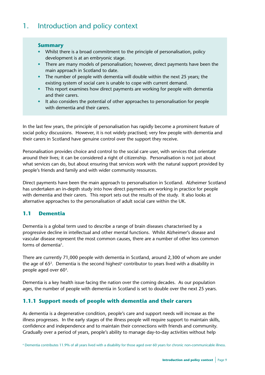# 1. Introduction and policy context

## **Summary**

- Whilst there is a broad commitment to the principle of personalisation, policy development is at an embryonic stage.
- There are many models of personalisation; however, direct payments have been the main approach in Scotland to date.
- The number of people with dementia will double within the next 25 years; the existing system of social care is unable to cope with current demand.
- This report examines how direct payments are working for people with dementia and their carers.
- It also considers the potential of other approaches to personalisation for people with dementia and their carers.

In the last few years, the principle of personalisation has rapidly become a prominent feature of social policy discussions. However, it is not widely practised; very few people with dementia and their carers in Scotland have genuine control over the support they receive.

Personalisation provides choice and control to the social care user, with services that orientate around their lives; it can be considered a right of citizenship. Personalisation is not just about what services can do, but about ensuring that services work with the natural support provided by people's friends and family and with wider community resources.

Direct payments have been the main approach to personalisation in Scotland. Alzheimer Scotland has undertaken an in-depth study into how direct payments are working in practice for people with dementia and their carers. This report sets out the results of the study. It also looks at alternative approaches to the personalisation of adult social care within the UK.

# **1.1 Dementia**

Dementia is a global term used to describe a range of brain diseases characterised by a progressive decline in intellectual and other mental functions. Whilst Alzheimer's disease and vascular disease represent the most common causes, there are a number of other less common forms of dementia<sup>1</sup>.

There are currently 71,000 people with dementia in Scotland, around 2,300 of whom are under the age of  $65<sup>2</sup>$ . Dementia is the second highest<sup>a</sup> contributor to years lived with a disability in people aged over 603.

Dementia is a key health issue facing the nation over the coming decades. As our population ages, the number of people with dementia in Scotland is set to double over the next 25 years.

# **1.1.1 Support needs of people with dementia and their carers**

As dementia is a degenerative condition, people's care and support needs will increase as the illness progresses. In the early stages of the illness people will require support to maintain skills, confidence and independence and to maintain their connections with friends and community. Gradually over a period of years, people's ability to manage day-to-day activities without help

a Dementia contributes 11.9% of all years lived with a disability for those aged over 60 years for chronic non-communicable illness.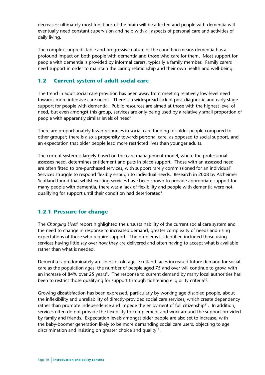decreases; ultimately most functions of the brain will be affected and people with dementia will eventually need constant supervision and help with all aspects of personal care and activities of daily living.

The complex, unpredictable and progressive nature of the condition means dementia has a profound impact on both people with dementia and those who care for them. Most support for people with dementia is provided by informal carers, typically a family member. Family carers need support in order to maintain the caring relationship and their own health and well-being.

# **1.2 Current system of adult social care**

The trend in adult social care provision has been away from meeting relatively low-level need towards more intensive care needs. There is a widespread lack of post diagnostic and early stage support for people with dementia. Public resources are aimed at those with the highest level of need, but even amongst this group, services are only being used by a relatively small proportion of people with apparently similar levels of need<sup>4</sup>.

There are proportionately fewer resources in social care funding for older people compared to other groups<sup>5</sup>; there is also a propensity towards personal care, as opposed to social support, and an expectation that older people lead more restricted lives than younger adults.

The current system is largely based on the care management model, where the professional assesses need, determines entitlement and puts in place support. Those with an assessed need are often fitted to pre-purchased services, with support rarely commissioned for an individual<sup>6</sup>. Services struggle to respond flexibly enough to individual needs. Research in 2008 by Alzheimer Scotland found that whilst existing services have been shown to provide appropriate support for many people with dementia, there was a lack of flexibility and people with dementia were not qualifying for support until their condition had deteriorated<sup>7</sup>.

# **1.2.1 Pressure for change**

The *Changing Lives*8 report highlighted the unsustainability of the current social care system and the need to change in response to increased demand, greater complexity of needs and rising expectations of those who require support. The problems it identified included those using services having little say over how they are delivered and often having to accept what is available rather than what is needed.

Dementia is predominately an illness of old age. Scotland faces increased future demand for social care as the population ages; the number of people aged 75 and over will continue to grow, with an increase of 84% over 25 years<sup>9</sup>. The response to current demand by many local authorities has been to restrict those qualifying for support through tightening eligibility criteria<sup>10</sup>.

Growing dissatisfaction has been expressed, particularly by working age disabled people, about the inflexibility and unreliability of directly-provided social care services, which create dependency rather than promote independence and impede the enjoyment of full citizenship<sup>11</sup>. In addition, services often do not provide the flexibility to complement and work around the support provided by family and friends. Expectation levels amongst older people are also set to increase, with the baby-boomer generation likely to be more demanding social care users, objecting to age discrimination and insisting on greater choice and quality<sup>12</sup>.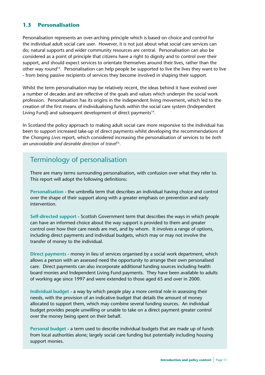# **1.3 Personalisation**

Personalisation represents an over-arching principle which is based on choice and control for the individual adult social care user. However, it is not just about what social care services can do; natural supports and wider community resources are central. Personalisation can also be considered as a point of principle that citizens have a right to dignity and to control over their support, and should expect services to orientate themselves around their lives, rather than the other way round<sup>13</sup>. Personalisation can help people be supported to live the lives they want to live - from being passive recipients of services they become involved in shaping their support.

Whilst the term personalisation may be relatively recent, the ideas behind it have evolved over a number of decades and are reflective of the goals and values which underpin the social work profession. Personalisation has its origins in the independent living movement, which led to the creation of the first means of individualising funds within the social care system (Independent Living Fund) and subsequent development of direct payments<sup>14</sup>.

In Scotland the policy approach to making adult social care more responsive to the individual has been to support increased take-up of direct payments whilst developing the recommendations of the *Changing Lives* report, which considered increasing the personalisation of services to be *both an unavoidable and desirable direction of travel*15.

# Terminology of personalisation

There are many terms surrounding personalisation, with confusion over what they refer to. This report will adopt the following definitions:

**Personalisation** - the umbrella term that describes an individual having choice and control over the shape of their support along with a greater emphasis on prevention and early intervention.

**Self-directed support** - Scottish Government term that describes the ways in which people can have an informed choice about the way support is provided to them and greater control over how their care needs are met, and by whom. It involves a range of options, including direct payments and individual budgets, which may or may not involve the transfer of money to the individual.

**Direct payments** - money in lieu of services organised by a social work department, which allows a person with an assessed need the opportunity to arrange their own personalised care. Direct payments can also incorporate additional funding sources including health board monies and Independent Living Fund payments. They have been available to adults of working age since 1997 and were extended to those aged 65 and over in 2000.

**Individual budget** - a way by which people play a more central role in assessing their needs, with the provision of an indicative budget that details the amount of money allocated to support them, which may combine several funding sources. An individual budget provides people unwilling or unable to take on a direct payment greater control over the money being spent on their behalf.

**Personal budget** - a term used to describe individual budgets that are made up of funds from local authorities alone; largely social care funding but potentially including housing support monies.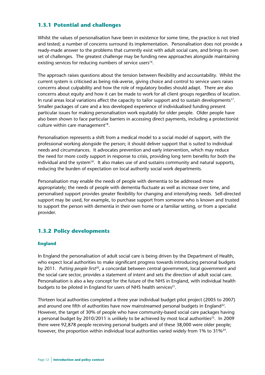# **1.3.1 Potential and challenges**

Whilst the values of personalisation have been in existence for some time, the practice is not tried and tested; a number of concerns surround its implementation. Personalisation does not provide a ready-made answer to the problems that currently exist with adult social care, and brings its own set of challenges. The greatest challenge may be funding new approaches alongside maintaining existing services for reducing numbers of service users<sup>16</sup>.

The approach raises questions about the tension between flexibility and accountability. Whilst the current system is criticised as being risk-averse, giving choice and control to service users raises concerns about culpability and how the role of regulatory bodies should adapt. There are also concerns about equity and how it can be made to work for all client groups regardless of location. In rural areas local variations affect the capacity to tailor support and to sustain developments<sup>17</sup>. Smaller packages of care and a less developed experience of individualised funding present particular issues for making personalisation work equitably for older people. Older people have also been shown to face particular barriers in accessing direct payments, including a protectionist culture within care management $18$ .

Personalisation represents a shift from a medical model to a social model of support, with the professional working alongside the person; it should deliver support that is suited to individual needs and circumstances. It advocates prevention and early intervention, which may reduce the need for more costly support in response to crisis, providing long term benefits for both the individual and the system<sup>19</sup>. It also makes use of and sustains community and natural supports, reducing the burden of expectation on local authority social work departments.

Personalisation may enable the needs of people with dementia to be addressed more appropriately; the needs of people with dementia fluctuate as well as increase over time, and personalised support provides greater flexibility for changing and intensifying needs. Self-directed support may be used, for example, to purchase support from someone who is known and trusted to support the person with dementia in their own home or a familiar setting, or from a specialist provider.

# **1.3.2 Policy developments**

#### **England**

In England the personalisation of adult social care is being driven by the Department of Health, who expect local authorities to make significant progress towards introducing personal budgets by 2011. *Putting people first*20, a concordat between central government, local government and the social care sector, provides a statement of intent and sets the direction of adult social care. Personalisation is also a key concept for the future of the NHS in England, with individual health budgets to be piloted in England for users of NHS health services<sup>21</sup>.

Thirteen local authorities completed a three year individual budget pilot project (2005 to 2007) and around one fifth of authorities have now mainstreamed personal budgets in England<sup>22</sup>. However, the target of 30% of people who have community-based social care packages having a personal budget by 2010/2011 is unlikely to be achieved by most local authorities<sup>23</sup>. In 2009 there were 92,878 people receiving personal budgets and of these 38,000 were older people; however, the proportion within individual local authorities varied widely from 1% to 31%<sup>24</sup>.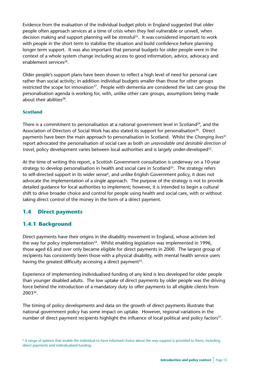Evidence from the evaluation of the individual budget pilots in England suggested that older people often approach services at a time of crisis when they feel vulnerable or unwell, when decision making and support planning will be stressful<sup>25</sup>. It was considered important to work with people in the short term to stabilise the situation and build confidence before planning longer term support. It was also important that personal budgets for older people were in the context of a whole system change including access to good information, advice, advocacy and enablement services<sup>26</sup>.

Older people's support plans have been shown to reflect a high level of need for personal care rather than social activity; in addition individual budgets smaller than those for other groups restricted the scope for innovation<sup>27</sup>. People with dementia are considered the last care group the personalisation agenda is working for, with, unlike other care groups, assumptions being made about their abilities<sup>28</sup>.

#### **Scotland**

There is a commitment to personalisation at a national government level in Scotland<sup>29</sup>, and the Association of Directors of Social Work has also stated its support for personalisation<sup>30</sup>. Direct payments have been the main approach to personalisation in Scotland. Whilst the *Changing lives*<sup>31</sup> report advocated the personalisation of social care as both *an unavoidable and desirable direction of travel*, policy development varies between local authorities and is largely under-developed32.

At the time of writing this report, a Scottish Government consultation is underway on a 10-year strategy to develop personalisation in health and social care in Scotland<sup>33</sup>. The strategy refers to self-directed support in its wider sense<sup>b</sup>, and unlike English Government policy, it does not advocate the implementation of a single approach. The purpose of the strategy is not to provide detailed guidance for local authorities to implement; however, it is intended to begin a cultural shift to drive broader choice and control for people using health and social care, with or without taking direct control of the money in the form of a direct payment.

# **1.4 Direct payments**

# **1.4.1 Background**

Direct payments have their origins in the disability movement in England, whose activism led the way for policy implementation<sup>34</sup>. Whilst enabling legislation was implemented in 1996, those aged 65 and over only became eligible for direct payments in 2000. The largest group of recipients has consistently been those with a physical disability, with mental health service users having the greatest difficulty accessing a direct payment<sup>35</sup>.

Experience of implementing individualised funding of any kind is less developed for older people than younger disabled adults. The low uptake of direct payments by older people was the driving force behind the introduction of a mandatory duty to offer payments to all eligible clients from 200336.

The timing of policy developments and data on the growth of direct payments illustrate that national government policy has some impact on uptake. However, regional variations in the number of direct payment recipients highlight the influence of local political and policy factors<sup>37</sup>.

**b** A range of options that enable the individual to have informed choice about the way support is provided to them, including direct payments and individualised funding.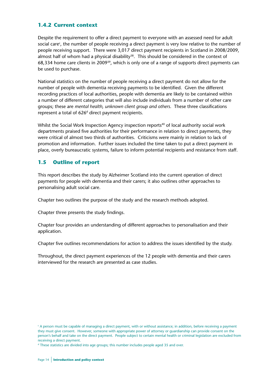# **1.4.2 Current context**

Despite the requirement to offer a direct payment to everyone with an assessed need for adult social care<sup>c</sup>, the number of people receiving a direct payment is very low relative to the number of people receiving support. There were 3,017 direct payment recipients in Scotland in 2008/2009, almost half of whom had a physical disability<sup>38</sup>. This should be considered in the context of 68,334 home care clients in 2009<sup>39</sup>, which is only one of a range of supports direct payments can be used to purchase.

National statistics on the number of people receiving a direct payment do not allow for the number of people with dementia receiving payments to be identified. Given the different recording practices of local authorities, people with dementia are likely to be contained within a number of different categories that will also include individuals from a number of other care groups; these are *mental health, unknown client group and others*. These three classifications represent a total of  $626<sup>d</sup>$  direct payment recipients.

Whilst the Social Work Inspection Agency inspection reports<sup>40</sup> of local authority social work departments praised five authorities for their performance in relation to direct payments, they were critical of almost two thirds of authorities. Criticisms were mainly in relation to lack of promotion and information. Further issues included the time taken to put a direct payment in place, overly bureaucratic systems, failure to inform potential recipients and resistance from staff.

# **1.5 Outline of report**

This report describes the study by Alzheimer Scotland into the current operation of direct payments for people with dementia and their carers; it also outlines other approaches to personalising adult social care.

Chapter two outlines the purpose of the study and the research methods adopted.

Chapter three presents the study findings.

Chapter four provides an understanding of different approaches to personalisation and their application.

Chapter five outlines recommendations for action to address the issues identified by the study.

Throughout, the direct payment experiences of the 12 people with dementia and their carers interviewed for the research are presented as case studies.

c A person must be capable of managing a direct payment, with or without assistance; in addition, before receiving a payment they must give consent. However, someone with appropriate power of attorney or guardianship can provide consent on the person's behalf and take on the direct payment. People subject to certain mental health or criminal legislation are excluded from receiving a direct payment.

d These statistics are divided into age groups; this number includes people aged 35 and over.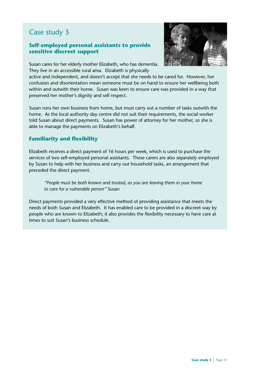# **Self-employed personal assistants to provide sensitive discreet support**



Susan cares for her elderly mother Elizabeth, who has dementia. They live in an accessible rural area. Elizabeth is physically

active and independent, and doesn't accept that she needs to be cared for. However, her confusion and disorientation mean someone must be on hand to ensure her wellbeing both within and outwith their home. Susan was keen to ensure care was provided in a way that preserved her mother's dignity and self respect.

Susan runs her own business from home, but must carry out a number of tasks outwith the home. As the local authority day centre did not suit their requirements, the social worker told Susan about direct payments. Susan has power of attorney for her mother, so she is able to manage the payments on Elizabeth's behalf.

# **Familiarity and flexibility**

Elizabeth receives a direct payment of 16 hours per week, which is used to purchase the services of two self-employed personal assistants. These carers are also separately employed by Susan to help with her business and carry out household tasks, an arrangement that preceded the direct payment.

*"People must be both known and trusted, as you are leaving them in your home to care for a vulnerable person"* Susan

Direct payments provided a very effective method of providing assistance that meets the needs of both Susan and Elizabeth. It has enabled care to be provided in a discreet way by people who are known to Elizabeth; it also provides the flexibility necessary to have care at times to suit Susan's business schedule.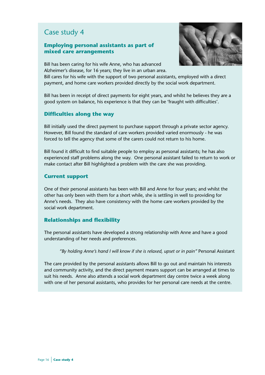## **Employing personal assistants as part of mixed care arrangements**



Bill has been caring for his wife Anne, who has advanced Alzheimer's disease, for 16 years; they live in an urban area.

Bill cares for his wife with the support of two personal assistants, employed with a direct payment, and home care workers provided directly by the social work department.

Bill has been in receipt of direct payments for eight years, and whilst he believes they are a good system on balance, his experience is that they can be 'fraught with difficulties'.

## **Difficulties along the way**

Bill initially used the direct payment to purchase support through a private sector agency. However, Bill found the standard of care workers provided varied enormously - he was forced to tell the agency that some of the carers could not return to his home.

Bill found it difficult to find suitable people to employ as personal assistants; he has also experienced staff problems along the way. One personal assistant failed to return to work or make contact after Bill highlighted a problem with the care she was providing.

#### **Current support**

One of their personal assistants has been with Bill and Anne for four years; and whilst the other has only been with them for a short while, she is settling in well to providing for Anne's needs. They also have consistency with the home care workers provided by the social work department.

#### **Relationships and flexibility**

The personal assistants have developed a strong relationship with Anne and have a good understanding of her needs and preferences.

*"By holding Anne's hand I will know if she is relaxed, upset or in pain"* Personal Assistant

The care provided by the personal assistants allows Bill to go out and maintain his interests and community activity, and the direct payment means support can be arranged at times to suit his needs. Anne also attends a social work department day centre twice a week along with one of her personal assistants, who provides for her personal care needs at the centre.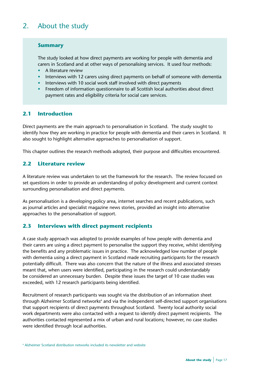# 2. About the study

## **Summary**

The study looked at how direct payments are working for people with dementia and carers in Scotland and at other ways of personalising services. It used four methods:

- A literature review
- Interviews with 12 carers using direct payments on behalf of someone with dementia
- Interviews with 10 social work staff involved with direct payments
- Freedom of information questionnaire to all Scottish local authorities about direct payment rates and eligibility criteria for social care services.

# **2.1 Introduction**

Direct payments are the main approach to personalisation in Scotland. The study sought to identify how they are working in practice for people with dementia and their carers in Scotland. It also sought to highlight alternative approaches to personalisation of support.

This chapter outlines the research methods adopted, their purpose and difficulties encountered.

# **2.2 Literature review**

A literature review was undertaken to set the framework for the research. The review focused on set questions in order to provide an understanding of policy development and current context surrounding personalisation and direct payments.

As personalisation is a developing policy area, internet searches and recent publications, such as journal articles and specialist magazine news stories, provided an insight into alternative approaches to the personalisation of support.

# **2.3 Interviews with direct payment recipients**

A case study approach was adopted to provide examples of how people with dementia and their carers are using a direct payment to personalise the support they receive, whilst identifying the benefits and any problematic issues in practice. The acknowledged low number of people with dementia using a direct payment in Scotland made recruiting participants for the research potentially difficult. There was also concern that the nature of the illness and associated stresses meant that, when users were identified, participating in the research could understandably be considered an unnecessary burden. Despite these issues the target of 10 case studies was exceeded, with 12 research participants being identified.

Recruitment of research participants was sought via the distribution of an information sheet through Alzheimer Scotland networks<sup>e</sup> and via the independent self-directed support organisations that support recipients of direct payments throughout Scotland. Twenty local authority social work departments were also contacted with a request to identify direct payment recipients. The authorities contacted represented a mix of urban and rural locations; however, no case studies were identified through local authorities.

e Alzheimer Scotland distribution networks included its newsletter and website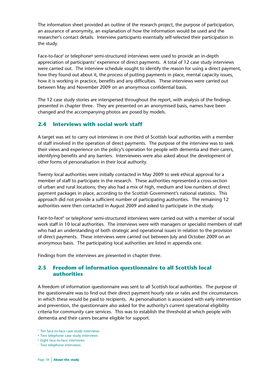The information sheet provided an outline of the research project, the purpose of participation, an assurance of anonymity, an explanation of how the information would be used and the researcher's contact details. Interview participants essentially self-selected their participation in the study.

Face-to-face<sup>f</sup> or telephone<sup>g</sup> semi-structured interviews were used to provide an in-depth appreciation of participants' experience of direct payments. A total of 12 case study interviews were carried out. The interview schedule sought to identify the reason for using a direct payment, how they found out about it, the process of putting payments in place, mental capacity issues, how it is working in practice, benefits and any difficulties. These interviews were carried out between May and November 2009 on an anonymous confidential basis.

The 12 case study stories are interspersed throughout the report, with analysis of the findings presented in chapter three. They are presented on an anonymised basis, names have been changed and the accompanying photos are posed by models.

# **2.4 Interviews with social work staff**

A target was set to carry out interviews in one third of Scottish local authorities with a member of staff involved in the operation of direct payments. The purpose of the interview was to seek their views and experience on the policy's operation for people with dementia and their carers, identifying benefits and any barriers. Interviewees were also asked about the development of other forms of personalisation in their local authority.

Twenty local authorities were initially contacted in May 2009 to seek ethical approval for a member of staff to participate in the research. These authorities represented a cross-section of urban and rural locations; they also had a mix of high, medium and low numbers of direct payment packages in place, according to the Scottish Government's national statistics. This approach did not provide a sufficient number of participating authorities. The remaining 12 authorities were then contacted in August 2009 and asked to participate in the study.

Face-to-face<sup>h</sup> or telephone<sup>i</sup> semi-structured interviews were carried out with a member of social work staff in 10 local authorities. The interviews were with managers or specialist members of staff who had an understanding of both strategic and operational issues in relation to the provision of direct payments. These interviews were carried out between July and October 2009 on an anonymous basis. The participating local authorities are listed in appendix one.

Findings from the interviews are presented in chapter three.

# **2.5 Freedom of information questionnaire to all Scottish local authorities**

A freedom of information questionnaire was sent to all Scottish local authorities. The purpose of the questionnaire was to find out their direct payment hourly rate or rates and the circumstances in which these would be paid to recipients. As personalisation is associated with early intervention and prevention, the questionnaire also asked for the authority's current operational eligibility criteria for community care services. This was to establish the threshold at which people with dementia and their carers became eligible for support.

<sup>f</sup> Ten face-to-face case study interviews

<sup>&</sup>lt;sup>9</sup> Two telephone case study interviews

<sup>h</sup> Eight face-to-face interviews

<sup>i</sup> Two telephone interviews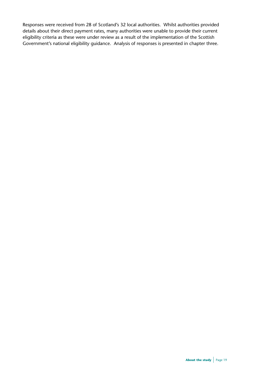Responses were received from 28 of Scotland's 32 local authorities. Whilst authorities provided details about their direct payment rates, many authorities were unable to provide their current eligibility criteria as these were under review as a result of the implementation of the Scottish Government's national eligibility guidance. Analysis of responses is presented in chapter three.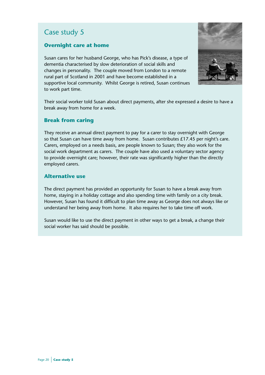# **Overnight care at home**

Susan cares for her husband George, who has Pick's disease, a type of dementia characterised by slow deterioration of social skills and changes in personality. The couple moved from London to a remote rural part of Scotland in 2001 and have become established in a supportive local community. Whilst George is retired, Susan continues to work part time.



Their social worker told Susan about direct payments, after she expressed a desire to have a break away from home for a week.

# **Break from caring**

They receive an annual direct payment to pay for a carer to stay overnight with George so that Susan can have time away from home. Susan contributes £17.45 per night's care. Carers, employed on a needs basis, are people known to Susan; they also work for the social work department as carers. The couple have also used a voluntary sector agency to provide overnight care; however, their rate was significantly higher than the directly employed carers.

# **Alternative use**

The direct payment has provided an opportunity for Susan to have a break away from home, staying in a holiday cottage and also spending time with family on a city break. However, Susan has found it difficult to plan time away as George does not always like or understand her being away from home. It also requires her to take time off work.

Susan would like to use the direct payment in other ways to get a break, a change their social worker has said should be possible.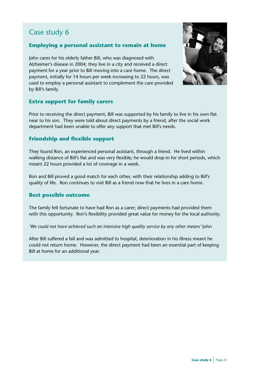# **Employing a personal assistant to remain at home**

John cares for his elderly father Bill, who was diagnosed with Alzheimer's disease in 2004; they live in a city and received a direct payment for a year prior to Bill moving into a care home. The direct payment, initially for 14 hours per week increasing to 22 hours, was used to employ a personal assistant to complement the care provided by Bill's family.



# **Extra support for family carers**

Prior to receiving the direct payment, Bill was supported by his family to live in his own flat near to his son. They were told about direct payments by a friend, after the social work department had been unable to offer any support that met Bill's needs.

# **Friendship and flexible support**

They found Ron, an experienced personal assistant, through a friend. He lived within walking distance of Bill's flat and was very flexible; he would drop-in for short periods, which meant 22 hours provided a lot of coverage in a week.

Ron and Bill proved a good match for each other, with their relationship adding to Bill's quality of life. Ron continues to visit Bill as a friend now that he lives in a care home.

# **Best possible outcome**

The family felt fortunate to have had Ron as a carer; direct payments had provided them with this opportunity. Ron's flexibility provided great value for money for the local authority.

'We could not have achieved such an intensive high quality service by any other means' John

After Bill suffered a fall and was admitted to hospital, deterioration in his illness meant he could not return home. However, the direct payment had been an essential part of keeping Bill at home for an additional year.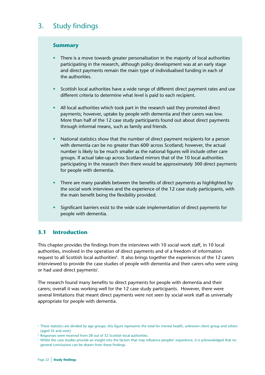## **Summary**

- There is a move towards greater personalisation in the majority of local authorities participating in the research, although policy development was at an early stage and direct payments remain the main type of individualised funding in each of the authorities.
- Scottish local authorities have a wide range of different direct payment rates and use different criteria to determine what level is paid to each recipient.
- All local authorities which took part in the research said they promoted direct payments; however, uptake by people with dementia and their carers was low. More than half of the 12 case study participants found out about direct payments through informal means, such as family and friends.
- National statistics show that the number of direct payment recipients for a person with dementia can be no greater than 600<sup>j</sup> across Scotland; however, the actual number is likely to be much smaller as the national figures will include other care groups. If actual take-up across Scotland mirrors that of the 10 local authorities participating in the research then there would be approximately 300 direct payments for people with dementia.
	- There are many parallels between the benefits of direct payments as highlighted by the social work interviews and the experience of the 12 case study participants, with the main benefit being the flexibility provided.
	- Significant barriers exist to the wide scale implementation of direct payments for people with dementia.

# **3.1 Introduction**

This chapter provides the findings from the interviews with 10 social work staff, in 10 local authorities, involved in the operation of direct payments and of a freedom of information request to all Scottish local authorities<sup>k</sup>. It also brings together the experiences of the 12 carers interviewed to provide the case studies of people with dementia and their carers who were using or had used direct payments<sup>!</sup>.

The research found many benefits to direct payments for people with dementia and their carers; overall it was working well for the 12 case study participants. However, there were several limitations that meant direct payments were not seen by social work staff as universally appropriate for people with dementia.

<sup>j</sup> These statistics are divided by age groups; this figure represents the total for mental health, unknown client group and others (aged 35 and over).

<sup>k</sup> Responses were received from 28 out of 32 Scottish local authorities.

<sup>l</sup> Whilst the case studies provide an insight into the factors that may influence peoples' experience, it is acknowledged that no general conclusions can be drawn from these findings.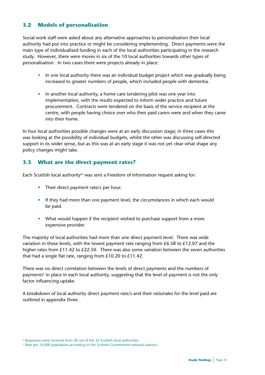# **3.2 Models of personalisation**

Social work staff were asked about any alternative approaches to personalisation their local authority had put into practice or might be considering implementing. Direct payments were the main type of individualised funding in each of the local authorities participating in the research study. However, there were moves in six of the 10 local authorities towards other types of personalisation. In two cases there were projects already in place:

- In one local authority there was an individual budget project which was gradually being increased to greater numbers of people, which included people with dementia.
- In another local authority, a home care tendering pilot was one year into implementation, with the results expected to inform wider practice and future procurement. Contracts were tendered on the basis of the service recipient at the centre, with people having choice over who their paid carers were and when they came into their home.

In four local authorities possible changes were at an early discussion stage; in three cases this was looking at the possibility of individual budgets, whilst the other was discussing self-directed support in its wider sense, but as this was at an early stage it was not yet clear what shape any policy changes might take.

# **3.3 What are the direct payment rates?**

Each Scottish local authority<sup>m</sup> was sent a Freedom of Information request asking for:

- Their direct payment rate/s per hour.
- If they had more than one payment level, the circumstances in which each would be paid.
- What would happen if the recipient wished to purchase support from a more expensive provider.

The majority of local authorities had more than one direct payment level. There was wide variation in these levels, with the lowest payment rate ranging from  $£6.58$  to  $£12.07$  and the higher rates from £11.42 to £22.50. There was also some variation between the seven authorities that had a single flat rate, ranging from £10.20 to £11.42.

There was no direct correlation between the levels of direct payments and the numbers of payments<sup>n</sup> in place in each local authority, suggesting that the level of payment is not the only factor influencing uptake.

A breakdown of local authority direct payment rate/s and their rationales for the level paid are outlined in appendix three.

<sup>m</sup> Responses were received from 28 out of the 32 Scottish local authorities.

<sup>n</sup> Rate per 10,000 population according to the Scottish Government national statistics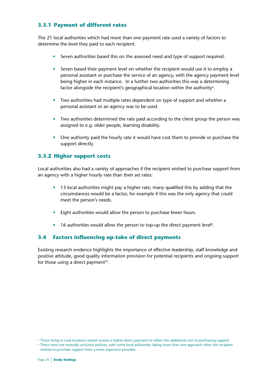# **3.3.1 Payment of different rates**

The 21 local authorities which had more than one payment rate used a variety of factors to determine the level they paid to each recipient:

- Seven authorities based this on the assessed need and type of support required.
- Seven based their payment level on whether the recipient would use it to employ a personal assistant or purchase the service of an agency, with the agency payment level being higher in each instance. In a further two authorities this was a determining factor alongside the recipient's geographical location within the authority<sup>o</sup>.
- Two authorities had multiple rates dependent on type of support and whether a personal assistant or an agency was to be used.
- Two authorities determined the rate paid according to the client group the person was assigned to e.g. older people, learning disability.
- One authority paid the hourly rate it would have cost them to provide or purchase the support directly.

# **3.3.2 Higher support costs**

Local authorities also had a variety of approaches if the recipient wished to purchase support from an agency with a higher hourly rate than their set rates:

- 13 local authorities might pay a higher rate; many qualified this by adding that the circumstances would be a factor, for example if this was the only agency that could meet the person's needs.
- Eight authorities would allow the person to purchase fewer hours.
- $\bullet$  16 authorities would allow the person to top-up the direct payment level<sup>p</sup>.

# **3.4 Factors influencing up-take of direct payments**

Existing research evidence highlights the importance of effective leadership, staff knowledge and positive attitude, good quality information provision for potential recipients and ongoing support for those using a direct payment<sup>41</sup>.

<sup>o</sup> Those living in rural locations would receive a higher direct payment to reflect the additional cost of purchasing support.

<sup>p</sup> These were not mutually exclusive policies, with some local authorities taking more than one approach when the recipient wished to purchase support from a more expensive provider.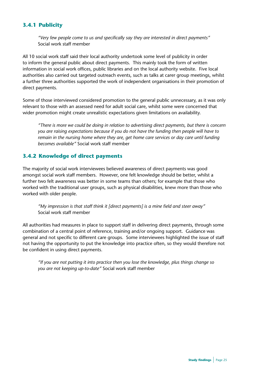# **3.4.1 Publicity**

*"Very few people come to us and specifically say they are interested in direct payments"*  Social work staff member

All 10 social work staff said their local authority undertook some level of publicity in order to inform the general public about direct payments. This mainly took the form of written information in social work offices, public libraries and on the local authority website. Five local authorities also carried out targeted outreach events, such as talks at carer group meetings, whilst a further three authorities supported the work of independent organisations in their promotion of direct payments.

Some of those interviewed considered promotion to the general public unnecessary, as it was only relevant to those with an assessed need for adult social care, whilst some were concerned that wider promotion might create unrealistic expectations given limitations on availability.

*"There is more we could be doing in relation to advertising direct payments, but there is concern you are raising expectations because if you do not have the funding then people will have to remain in the nursing home where they are, get home care services or day care until funding becomes available"* Social work staff member

# **3.4.2 Knowledge of direct payments**

The majority of social work interviewees believed awareness of direct payments was good amongst social work staff members. However, one felt knowledge should be better, whilst a further two felt awareness was better in some teams than others; for example that those who worked with the traditional user groups, such as physical disabilities, knew more than those who worked with older people.

*"My impression is that staff think it [direct payments] is a mine field and steer away"*  Social work staff member

All authorities had measures in place to support staff in delivering direct payments, through some combination of a central point of reference, training and/or ongoing support. Guidance was general and not specific to different care groups. Some interviewees highlighted the issue of staff not having the opportunity to put the knowledge into practice often, so they would therefore not be confident in using direct payments.

*"If you are not putting it into practice then you lose the knowledge, plus things change so you are not keeping up-to-date"* Social work staff member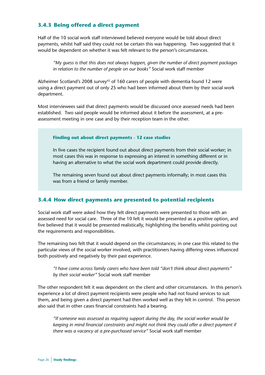# **3.4.3 Being offered a direct payment**

Half of the 10 social work staff interviewed believed everyone would be told about direct payments, whilst half said they could not be certain this was happening. Two suggested that it would be dependent on whether it was felt relevant to the person's circumstances.

*"My guess is that this does not always happen, given the number of direct payment packages in relation to the number of people on our books"* Social work staff member

Alzheimer Scotland's 2008 survey<sup>42</sup> of 160 carers of people with dementia found 12 were using a direct payment out of only 25 who had been informed about them by their social work department.

Most interviewees said that direct payments would be discussed once assessed needs had been established. Two said people would be informed about it before the assessment, at a preassessment meeting in one case and by their reception team in the other.

#### **Finding out about direct payments - 12 case studies**

In five cases the recipient found out about direct payments from their social worker; in most cases this was in response to expressing an interest in something different or in having an alternative to what the social work department could provide directly.

The remaining seven found out about direct payments informally; in most cases this was from a friend or family member.

#### **3.4.4 How direct payments are presented to potential recipients**

Social work staff were asked how they felt direct payments were presented to those with an assessed need for social care. Three of the 10 felt it would be presented as a positive option, and five believed that it would be presented realistically, highlighting the benefits whilst pointing out the requirements and responsibilities.

The remaining two felt that it would depend on the circumstances; in one case this related to the particular views of the social worker involved, with practitioners having differing views influenced both positively and negatively by their past experience.

*"I have come across family carers who have been told "don't think about direct payments" by their social worker"* Social work staff member

The other respondent felt it was dependent on the client and other circumstances. In this person's experience a lot of direct payment recipients were people who had not found services to suit them, and being given a direct payment had then worked well as they felt in control. This person also said that in other cases financial constraints had a bearing.

*"If someone was assessed as requiring support during the day, the social worker would be keeping in mind financial constraints and might not think they could offer a direct payment if there was a vacancy at a pre-purchased service"* Social work staff member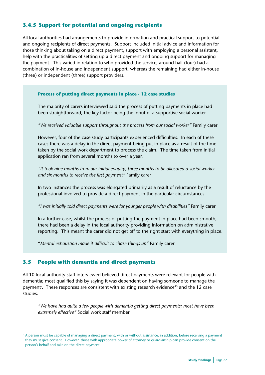# **3.4.5 Support for potential and ongoing recipients**

All local authorities had arrangements to provide information and practical support to potential and ongoing recipients of direct payments. Support included initial advice and information for those thinking about taking on a direct payment, support with employing a personal assistant, help with the practicalities of setting up a direct payment and ongoing support for managing the payment. This varied in relation to who provided the service; around half (four) had a combination of in-house and independent support, whereas the remaining had either in-house (three) or independent (three) support providers.

#### **Process of putting direct payments in place - 12 case studies**

The majority of carers interviewed said the process of putting payments in place had been straightforward, the key factor being the input of a supportive social worker.

*"We received valuable support throughout the process from our social worker"* Family carer

However, four of the case study participants experienced difficulties. In each of these cases there was a delay in the direct payment being put in place as a result of the time taken by the social work department to process the claim. The time taken from initial application ran from several months to over a year.

*"It took nine months from our initial enquiry; three months to be allocated a social worker and six months to receive the first payment"* Family carer

In two instances the process was elongated primarily as a result of reluctance by the professional involved to provide a direct payment in the particular circumstances.

*"I was initially told direct payments were for younger people with disabilities"* Family carer

In a further case, whilst the process of putting the payment in place had been smooth, there had been a delay in the local authority providing information on administrative reporting. This meant the carer did not get off to the right start with everything in place.

"*Mental exhaustion made it difficult to chase things up"* Family carer

#### **3.5 People with dementia and direct payments**

All 10 local authority staff interviewed believed direct payments were relevant for people with dementia; most qualified this by saying it was dependent on having someone to manage the payment<sup>r</sup>. These responses are consistent with existing research evidence<sup>43</sup> and the 12 case studies.

*"We have had quite a few people with dementia getting direct payments; most have been extremely effective"* Social work staff member

<sup>r</sup> A person must be capable of managing a direct payment, with or without assistance; in addition, before receiving a payment they must give consent. However, those with appropriate power of attorney or guardianship can provide consent on the person's behalf and take on the direct payment.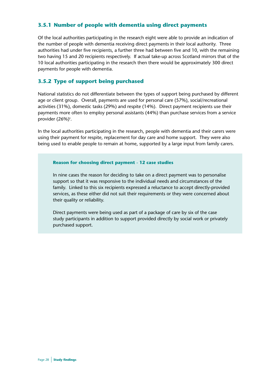# **3.5.1 Number of people with dementia using direct payments**

Of the local authorities participating in the research eight were able to provide an indication of the number of people with dementia receiving direct payments in their local authority. Three authorities had under five recipients, a further three had between five and 10, with the remaining two having 15 and 20 recipients respectively. If actual take-up across Scotland mirrors that of the 10 local authorities participating in the research then there would be approximately 300 direct payments for people with dementia.

# **3.5.2 Type of support being purchased**

National statistics do not differentiate between the types of support being purchased by different age or client group. Overall, payments are used for personal care (57%), social/recreational activities (31%), domestic tasks (29%) and respite (14%). Direct payment recipients use their payments more often to employ personal assistants (44%) than purchase services from a service provider (26%)<sup>s</sup>.

In the local authorities participating in the research, people with dementia and their carers were using their payment for respite, replacement for day care and home support. They were also being used to enable people to remain at home, supported by a large input from family carers.

#### **Reason for choosing direct payment - 12 case studies**

In nine cases the reason for deciding to take on a direct payment was to personalise support so that it was responsive to the individual needs and circumstances of the family. Linked to this six recipients expressed a reluctance to accept directly-provided services, as these either did not suit their requirements or they were concerned about their quality or reliability.

Direct payments were being used as part of a package of care by six of the case study participants in addition to support provided directly by social work or privately purchased support.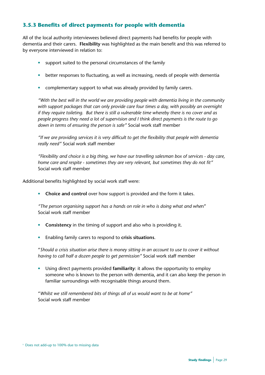# **3.5.3 Benefits of direct payments for people with dementia**

All of the local authority interviewees believed direct payments had benefits for people with dementia and their carers. **Flexibility** was highlighted as the main benefit and this was referred to by everyone interviewed in relation to:

- support suited to the personal circumstances of the family
- better responses to fluctuating, as well as increasing, needs of people with dementia
- complementary support to what was already provided by family carers.

*"With the best will in the world we are providing people with dementia living in the community with support packages that can only provide care four times a day, with possibly an overnight if they require toileting. But there is still a vulnerable time whereby there is no cover and as people progress they need a lot of supervision and I think direct payments is the route to go down in terms of ensuring the person is safe"* Social work staff member

*"If we are providing services it is very difficult to get the flexibility that people with dementia really need"* Social work staff member

*"Flexibility and choice is a big thing, we have our travelling salesman box of services - day care, home care and respite - sometimes they are very relevant, but sometimes they do not fit"* Social work staff member

Additional benefits highlighted by social work staff were:

**• Choice and control** over how support is provided and the form it takes.

*"The person organising support has a hands on role in who is doing what and whe*n" Social work staff member

- **• Consistency** in the timing of support and also who is providing it.
- Enabling family carers to respond to **crisis situations**.

"*Should a crisis situation arise there is money sitting in an account to use to cover it without having to call half a dozen people to get permission"* Social work staff member

• Using direct payments provided **familiarity**: it allows the opportunity to employ someone who is known to the person with dementia, and it can also keep the person in familiar surroundings with recognisable things around them.

"*Whilst we still remembered bits of things all of us would want to be at home"* Social work staff member

<sup>s</sup> Does not add-up to 100% due to missing data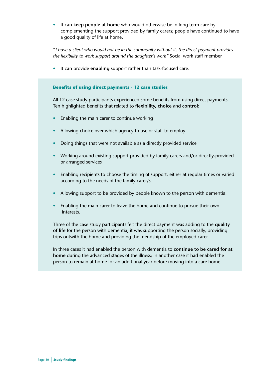• It can **keep people at home** who would otherwise be in long term care by complementing the support provided by family carers; people have continued to have a good quality of life at home.

"*I have a client who would not be in the community without it, the direct payment provides the flexibility to work support around the daughter's work"* Social work staff member

• It can provide **enabling** support rather than task-focused care.

#### **Benefits of using direct payments - 12 case studies**

All 12 case study participants experienced some benefits from using direct payments. Ten highlighted benefits that related to **flexibility, choice** and **control**:

- Enabling the main carer to continue working
- Allowing choice over which agency to use or staff to employ
- Doing things that were not available as a directly provided service
- Working around existing support provided by family carers and/or directly-provided or arranged services
- Enabling recipients to choose the timing of support, either at regular times or varied according to the needs of the family carer/s.
- Allowing support to be provided by people known to the person with dementia.
- Enabling the main carer to leave the home and continue to pursue their own interests.

Three of the case study participants felt the direct payment was adding to the **quality of life** for the person with dementia; it was supporting the person socially, providing trips outwith the home and providing the friendship of the employed carer.

In three cases it had enabled the person with dementia to **continue to be cared for at home** during the advanced stages of the illness; in another case it had enabled the person to remain at home for an additional year before moving into a care home.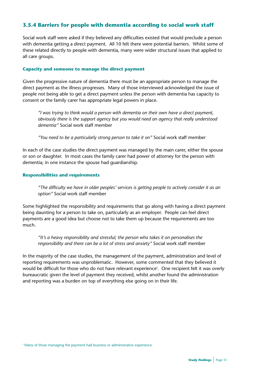# **3.5.4 Barriers for people with dementia according to social work staff**

Social work staff were asked if they believed any difficulties existed that would preclude a person with dementia getting a direct payment. All 10 felt there were potential barriers. Whilst some of these related directly to people with dementia, many were wider structural issues that applied to all care groups.

#### **Capacity and someone to manage the direct payment**

Given the progressive nature of dementia there must be an appropriate person to manage the direct payment as the illness progresses. Many of those interviewed acknowledged the issue of people not being able to get a direct payment unless the person with dementia has capacity to consent or the family carer has appropriate legal powers in place.

*"I was trying to think would a person with dementia on their own have a direct payment, obviously there is the support agency but you would need an agency that really understood dementia"* Social work staff member

*"You need to be a particularly strong person to take it on"* Social work staff member

In each of the case studies the direct payment was managed by the main carer, either the spouse or son or daughter. In most cases the family carer had power of attorney for the person with dementia; in one instance the spouse had guardianship.

#### **Responsibilities and requirements**

*"The difficulty we have in older peoples' services is getting people to actively consider it as an option"* Social work staff member

Some highlighted the responsibility and requirements that go along with having a direct payment being daunting for a person to take on, particularly as an employer. People can feel direct payments are a good idea but choose not to take them up because the requirements are too much.

*"It's a heavy responsibility and stressful; the person who takes it on personalises the responsibility and there can be a lot of stress and anxiety"* Social work staff member

In the majority of the case studies, the management of the payment, administration and level of reporting requirements was unproblematic. However, some commented that they believed it would be difficult for those who do not have relevant experiencet . One recipient felt it was overly bureaucratic given the level of payment they received, whilst another found the administration and reporting was a burden on top of everything else going on in their life.

t Many of those managing the payment had business or administrative experience.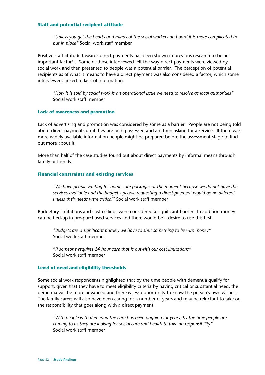#### **Staff and potential recipient attitude**

*"Unless you get the hearts and minds of the social workers on board it is more complicated to put in place"* Social work staff member

Positive staff attitude towards direct payments has been shown in previous research to be an important factor<sup>44</sup>. Some of those interviewed felt the way direct payments were viewed by social work and then presented to people was a potential barrier. The perception of potential recipients as of what it means to have a direct payment was also considered a factor, which some interviewees linked to lack of information.

*"How it is sold by social work is an operational issue we need to resolve as local authorities"* Social work staff member

#### **Lack of awareness and promotion**

Lack of advertising and promotion was considered by some as a barrier. People are not being told about direct payments until they are being assessed and are then asking for a service. If there was more widely available information people might be prepared before the assessment stage to find out more about it.

More than half of the case studies found out about direct payments by informal means through family or friends.

#### **Financial constraints and existing services**

*"We have people waiting for home care packages at the moment because we do not have the services available and the budget - people requesting a direct payment would be no different unless their needs were critical"* Social work staff member

Budgetary limitations and cost ceilings were considered a significant barrier. In addition money can be tied-up in pre-purchased services and there would be a desire to use this first.

*"Budgets are a significant barrier; we have to shut something to free-up money"* Social work staff member

"*If someone requires 24 hour care that is outwith our cost limitations"*  Social work staff member

#### **Level of need and eligibility thresholds**

Some social work respondents highlighted that by the time people with dementia qualify for support, given that they have to meet eligibility criteria by having critical or substantial need, the dementia will be more advanced and there is less opportunity to know the person's own wishes. The family carers will also have been caring for a number of years and may be reluctant to take on the responsibility that goes along with a direct payment.

*"With people with dementia the care has been ongoing for years; by the time people are coming to us they are looking for social care and health to take on responsibility"* Social work staff member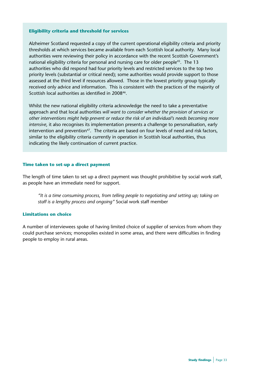#### **Eligibility criteria and threshold for services**

Alzheimer Scotland requested a copy of the current operational eligibility criteria and priority thresholds at which services became available from each Scottish local authority. Many local authorities were reviewing their policy in accordance with the recent Scottish Government's national eligibility criteria for personal and nursing care for older people<sup>45</sup>. The 13 authorities who did respond had four priority levels and restricted services to the top two priority levels (substantial or critical need); some authorities would provide support to those assessed at the third level if resources allowed. Those in the lowest priority group typically received only advice and information. This is consistent with the practices of the majority of Scottish local authorities as identified in 2008<sup>46</sup>.

Whilst the new national eligibility criteria acknowledge the need to take a preventative approach and that local authorities *will want to consider whether the provision of services or other interventions might help prevent or reduce the risk of an individual's needs becoming more intensive*, it also recognises its implementation presents a challenge to personalisation, early intervention and prevention<sup>47</sup>. The criteria are based on four levels of need and risk factors, similar to the eligibility criteria currently in operation in Scottish local authorities, thus indicating the likely continuation of current practice.

#### **Time taken to set-up a direct payment**

The length of time taken to set up a direct payment was thought prohibitive by social work staff, as people have an immediate need for support.

*"It is a time consuming process, from telling people to negotiating and setting up; taking on staff is a lengthy process and ongoing"* Social work staff member

#### **Limitations on choice**

A number of interviewees spoke of having limited choice of supplier of services from whom they could purchase services; monopolies existed in some areas, and there were difficulties in finding people to employ in rural areas.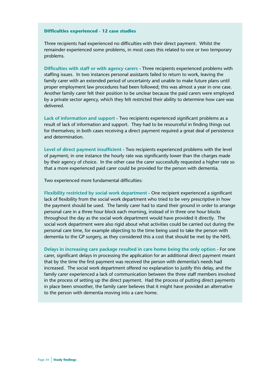#### **Difficulties experienced - 12 case studies**

Three recipients had experienced no difficulties with their direct payment. Whilst the remainder experienced some problems, in most cases this related to one or two temporary problems.

**Difficulties with staff or with agency carers** - Three recipients experienced problems with staffing issues. In two instances personal assistants failed to return to work, leaving the family carer with an extended period of uncertainty and unable to make future plans until proper employment law procedures had been followed; this was almost a year in one case. Another family carer felt their position to be unclear because the paid carers were employed by a private sector agency, which they felt restricted their ability to determine how care was delivered.

**Lack of information and support** - Two recipients experienced significant problems as a result of lack of information and support. They had to be resourceful in finding things out for themselves; in both cases receiving a direct payment required a great deal of persistence and determination.

**Level of direct payment insufficient** - Two recipients experienced problems with the level of payment; in one instance the hourly rate was significantly lower than the charges made by their agency of choice. In the other case the carer successfully requested a higher rate so that a more experienced paid carer could be provided for the person with dementia.

Two experienced more fundamental difficulties:

**Flexibility restricted by social work department** - One recipient experienced a significant lack of flexibility from the social work department who tried to be very prescriptive in how the payment should be used. The family carer had to stand their ground in order to arrange personal care in a three hour block each morning, instead of in three one hour blocks throughout the day as the social work department would have provided it directly. The social work department were also rigid about what activities could be carried out during the personal care time, for example objecting to the time being used to take the person with dementia to the GP surgery, as they considered this a cost that should be met by the NHS.

**Delays in increasing care package resulted in care home being the only option** - For one carer, significant delays in processing the application for an additional direct payment meant that by the time the first payment was received the person with dementia's needs had increased. The social work department offered no explanation to justify this delay, and the family carer experienced a lack of communication between the three staff members involved in the process of setting up the direct payment. Had the process of putting direct payments in place been smoother, the family carer believes that it might have provided an alternative to the person with dementia moving into a care home.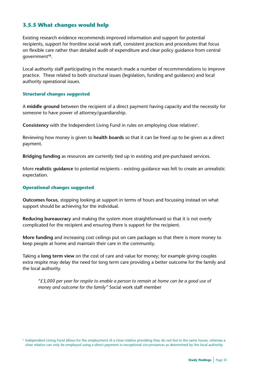# **3.5.5 What changes would help**

Existing research evidence recommends improved information and support for potential recipients, support for frontline social work staff, consistent practices and procedures that focus on flexible care rather than detailed audit of expenditure and clear policy guidance from central government48.

Local authority staff participating in the research made a number of recommendations to improve practice. These related to both structural issues (legislation, funding and guidance) and local authority operational issues.

#### **Structural changes suggested**

A **middle ground** between the recipient of a direct payment having capacity and the necessity for someone to have power of attorney/guardianship.

**Consistency** with the Independent Living Fund in rules on employing close relatives<sup>u</sup>.

Reviewing how money is given to **health boards** so that it can be freed up to be given as a direct payment.

**Bridging funding** as resources are currently tied up in existing and pre-purchased services.

More **realistic guidance** to potential recipients - existing guidance was felt to create an unrealistic expectation.

#### **Operational changes suggested**

**Outcomes focus**, stopping looking at support in terms of hours and focussing instead on what support should be achieving for the individual.

**Reducing bureaucracy** and making the system more straightforward so that it is not overly complicated for the recipient and ensuring there is support for the recipient.

**More funding** and increasing cost ceilings put on care packages so that there is more money to keep people at home and maintain their care in the community.

Taking a **long term view** on the cost of care and value for money; for example giving couples extra respite may delay the need for long term care providing a better outcome for the family and the local authority.

*"£3,000 per year for respite to enable a person to remain at home can be a good use of money and outcome for the family"* Social work staff member

<sup>u</sup> Independent Living Fund allows for the employment of a close relative providing they do not live in the same house, whereas a close relative can only be employed using a direct payment in exceptional circumstances as determined by the local authority.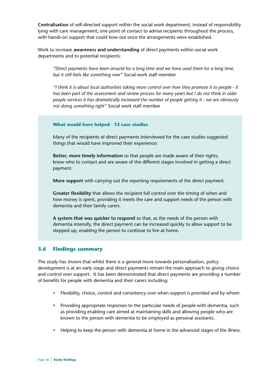**Centralisation** of self-directed support within the social work department, instead of responsibility lying with care management; one point of contact to advise recipients throughout the process, with hands-on support that could bow out once the arrangements were established.

Work to increase **awareness and understanding** of direct payments within social work departments and to potential recipients.

*"Direct payments have been around for a long time and we have used them for a long time, but it still feels like something new"* Social work staff member

*"I think it is about local authorities taking more control over how they promote it to people - it has been part of the assessment and review process for many years but I do not think in older people services it has dramatically increased the number of people getting it - we are obviously not doing something right"* Social work staff member

#### **What would have helped - 12 case studies**

Many of the recipients of direct payments interviewed for the case studies suggested things that would have improved their experience:

**Better, more timely information** so that people are made aware of their rights, know who to contact and are aware of the different stages involved in getting a direct payment.

**More support** with carrying out the reporting requirements of the direct payment.

**Greater flexibility** that allows the recipient full control over the timing of when and how money is spent, providing it meets the care and support needs of the person with dementia and their family carers.

**A system that was quicker to respond** so that, as the needs of the person with dementia intensify, the direct payment can be increased quickly to allow support to be stepped up, enabling the person to continue to live at home.

# **3.6 Findings summary**

The study has shown that whilst there is a general move towards personalisation, policy development is at an early stage and direct payments remain the main approach to giving choice and control over support. It has been demonstrated that direct payments are providing a number of benefits for people with dementia and their carers including:

- Flexibility, choice, control and consistency over when support is provided and by whom.
- Providing appropriate responses to the particular needs of people with dementia, such as providing enabling care aimed at maintaining skills and allowing people who are known to the person with dementia to be employed as personal assistants.
- Helping to keep the person with dementia at home in the advanced stages of the illness.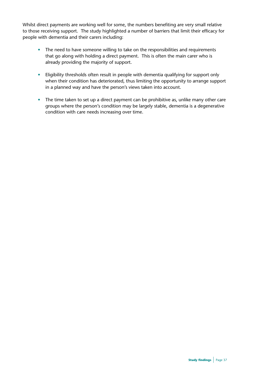Whilst direct payments are working well for some, the numbers benefiting are very small relative to those receiving support. The study highlighted a number of barriers that limit their efficacy for people with dementia and their carers including:

- The need to have someone willing to take on the responsibilities and requirements that go along with holding a direct payment. This is often the main carer who is already providing the majority of support.
- Eligibility thresholds often result in people with dementia qualifying for support only when their condition has deteriorated, thus limiting the opportunity to arrange support in a planned way and have the person's views taken into account.
- The time taken to set up a direct payment can be prohibitive as, unlike many other care groups where the person's condition may be largely stable, dementia is a degenerative condition with care needs increasing over time.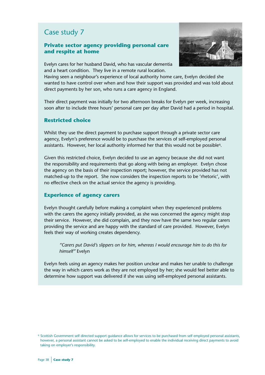## **Private sector agency providing personal care and respite at home**



Evelyn cares for her husband David, who has vascular dementia and a heart condition. They live in a remote rural location.

Having seen a neighbour's experience of local authority home care, Evelyn decided she wanted to have control over when and how their support was provided and was told about direct payments by her son, who runs a care agency in England.

Their direct payment was initially for two afternoon breaks for Evelyn per week, increasing soon after to include three hours' personal care per day after David had a period in hospital.

#### **Restricted choice**

Whilst they use the direct payment to purchase support through a private sector care agency, Evelyn's preference would be to purchase the services of self-employed personal assistants. However, her local authority informed her that this would not be possible<sup>q</sup>.

Given this restricted choice, Evelyn decided to use an agency because she did not want the responsibility and requirements that go along with being an employer. Evelyn chose the agency on the basis of their inspection report; however, the service provided has not matched-up to the report. She now considers the inspection reports to be 'rhetoric', with no effective check on the actual service the agency is providing.

#### **Experience of agency carers**

Evelyn thought carefully before making a complaint when they experienced problems with the carers the agency initially provided, as she was concerned the agency might stop their service. However, she did complain, and they now have the same two regular carers providing the service and are happy with the standard of care provided. However, Evelyn feels their way of working creates dependency.

*"Carers put David's slippers on for him, whereas I would encourage him to do this for himself"* Evelyn

Evelyn feels using an agency makes her position unclear and makes her unable to challenge the way in which carers work as they are not employed by her; she would feel better able to determine how support was delivered if she was using self-employed personal assistants.

<sup>q</sup> Scottish Government self directed support guidance allows for services to be purchased from self employed personal assistants, however, a personal assistant cannot be asked to be self-employed to enable the individual receiving direct payments to avoid taking on employer's responsibility.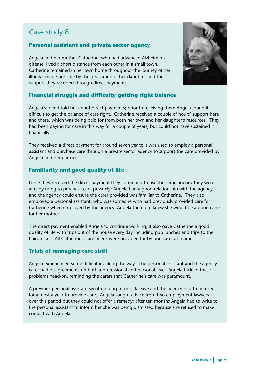# **Personal assistant and private sector agency**

Angela and her mother Catherine, who had advanced Alzheimer's disease, lived a short distance from each other in a small town. Catherine remained in her own home throughout the journey of her illness - made possible by the dedication of her daughter and the support they received through direct payments.



# **Financial struggle and difficulty getting right balance**

Angela's friend told her about direct payments; prior to receiving them Angela found it difficult to get the balance of care right. Catherine received a couple of hours' support here and there, which was being paid for from both her own and her daughter's resources. They had been paying for care in this way for a couple of years, but could not have sustained it financially.

They received a direct payment for around seven years; it was used to employ a personal assistant and purchase care through a private sector agency to support the care provided by Angela and her partner.

# **Familiarity and good quality of life**

Once they received the direct payment they continued to use the same agency they were already using to purchase care privately; Angela had a good relationship with the agency, and the agency could ensure the carer provided was familiar to Catherine. They also employed a personal assistant, who was someone who had previously provided care for Catherine when employed by the agency; Angela therefore knew she would be a good carer for her mother.

The direct payment enabled Angela to continue working; it also gave Catherine a good quality of life with trips out of the house every day including pub lunches and trips to the hairdresser. All Catherine's care needs were provided for by one carer at a time.

# **Trials of managing care staff**

Angela experienced some difficulties along the way. The personal assistant and the agency carer had disagreements on both a professional and personal level. Angela tackled these problems head-on, reminding the carers that Catherine's care was paramount.

A previous personal assistant went on long-term sick leave and the agency had to be used for almost a year to provide care. Angela sought advice from two employment lawyers over this period but they could not offer a remedy; after ten months Angela had to write to the personal assistant to inform her she was being dismissed because she refused to make contact with Angela.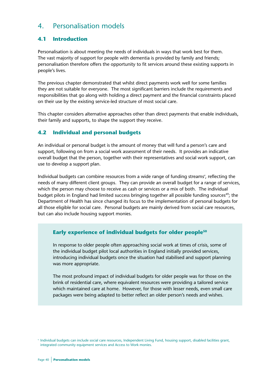# 4. Personalisation models

# **4.1 Introduction**

Personalisation is about meeting the needs of individuals in ways that work best for them. The vast majority of support for people with dementia is provided by family and friends; personalisation therefore offers the opportunity to fit services around these existing supports in people's lives.

The previous chapter demonstrated that whilst direct payments work well for some families they are not suitable for everyone. The most significant barriers include the requirements and responsibilities that go along with holding a direct payment and the financial constraints placed on their use by the existing service-led structure of most social care.

This chapter considers alternative approaches other than direct payments that enable individuals, their family and supports, to shape the support they receive.

# **4.2 Individual and personal budgets**

An individual or personal budget is the amount of money that will fund a person's care and support, following on from a social work assessment of their needs. It provides an indicative overall budget that the person, together with their representatives and social work support, can use to develop a support plan.

Individual budgets can combine resources from a wide range of funding streams<sup>v</sup>, reflecting the needs of many different client groups. They can provide an overall budget for a range of services, which the person may choose to receive as cash or services or a mix of both. The individual budget pilots in England had limited success bringing together all possible funding sources<sup>49</sup>; the Department of Health has since changed its focus to the implementation of personal budgets for all those eligible for social care. Personal budgets are mainly derived from social care resources, but can also include housing support monies.

# **Early experience of individual budgets for older people50**

In response to older people often approaching social work at times of crisis, some of the individual budget pilot local authorities in England initially provided services, introducing individual budgets once the situation had stabilised and support planning was more appropriate.

The most profound impact of individual budgets for older people was for those on the brink of residential care, where equivalent resources were providing a tailored service which maintained care at home. However, for those with lesser needs, even small care packages were being adapted to better reflect an older person's needs and wishes.

<sup>v</sup> Individual budgets can include social care resources, Independent Living Fund, housing support, disabled facilities grant, integrated community equipment services and Access to Work monies.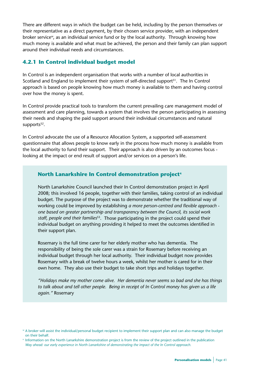There are different ways in which the budget can be held, including by the person themselves or their representative as a direct payment, by their chosen service provider, with an independent broker service<sup>w</sup>, as an individual service fund or by the local authority. Through knowing how much money is available and what must be achieved, the person and their family can plan support around their individual needs and circumstances.

# **4.2.1 In Control individual budget model**

In Control is an independent organisation that works with a number of local authorities in Scotland and England to implement their system of self-directed support<sup>51</sup>. The In Control approach is based on people knowing how much money is available to them and having control over how the money is spent.

In Control provide practical tools to transform the current prevailing care management model of assessment and care planning, towards a system that involves the person participating in assessing their needs and shaping the paid support around their individual circumstances and natural supports<sup>52</sup>.

In Control advocate the use of a Resource Allocation System, a supported self-assessment questionnaire that allows people to know early in the process how much money is available from the local authority to fund their support. Their approach is also driven by an outcomes focus looking at the impact or end result of support and/or services on a person's life.

# **North Lanarkshire In Control demonstration project<sup>x</sup>**

North Lanarkshire Council launched their In Control demonstration project in April 2008; this involved 16 people, together with their families, taking control of an individual budget. The purpose of the project was to demonstrate whether the traditional way of working could be improved by establishing *a more person-centred and flexible approach one based on greater partnership and transparency between the Council, its social work staff, people and their families*53. Those participating in the project could spend their individual budget on anything providing it helped to meet the outcomes identified in their support plan.

Rosemary is the full time carer for her elderly mother who has dementia. The responsibility of being the sole carer was a strain for Rosemary before receiving an individual budget through her local authority. Their individual budget now provides Rosemary with a break of twelve hours a week, whilst her mother is cared for in their own home. They also use their budget to take short trips and holidays together.

*"Holidays make my mother come alive. Her dementia never seems so bad and she has things to talk about and tell other people. Being in receipt of In Control money has given us a life again."* Rosemary

<sup>w</sup> A broker will assist the individual/personal budget recipient to implement their support plan and can also manage the budget on their behalf.

<sup>x</sup> Information on the North Lanarkshire demonstration project is from the review of the project outlined in the publication *Way ahead: our early experience in North Lanarkshire of demonstrating the impact of the In Control approach.*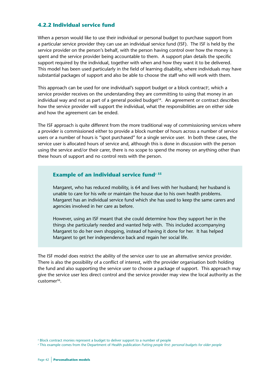# **4.2.2 Individual service fund**

When a person would like to use their individual or personal budget to purchase support from a particular service provider they can use an individual service fund (ISF). The ISF is held by the service provider on the person's behalf, with the person having control over how the money is spent and the service provider being accountable to them. A support plan details the specific support required by the individual, together with when and how they want it to be delivered. This model has been used particularly in the field of learning disability, where individuals may have substantial packages of support and also be able to choose the staff who will work with them.

This approach can be used for one individual's support budget or a block contracty , which a service provider receives on the understanding they are committing to using that money in an individual way and not as part of a general pooled budget<sup>54</sup>. An agreement or contract describes how the service provider will support the individual, what the responsibilities are on either side and how the agreement can be ended.

The ISF approach is quite different from the more traditional way of commissioning services where a provider is commissioned either to provide a block number of hours across a number of service users or a number of hours is "spot purchased" for a single service user. In both these cases, the service user is allocated hours of service and, although this is done in discussion with the person using the service and/or their carer, there is no scope to spend the money on anything other than these hours of support and no control rests with the person.

# **Example of an individual service fund**<sup>z 55</sup>

Margaret, who has reduced mobility, is 64 and lives with her husband; her husband is unable to care for his wife or maintain the house due to his own health problems. Margaret has an individual service fund which she has used to keep the same carers and agencies involved in her care as before.

However, using an ISF meant that she could determine how they support her in the things she particularly needed and wanted help with. This included accompanying Margaret to do her own shopping, instead of having it done for her. It has helped Margaret to get her independence back and regain her social life.

The ISF model does restrict the ability of the service user to use an alternative service provider. There is also the possibility of a conflict of interest, with the provider organisation both holding the fund and also supporting the service user to choose a package of support. This approach may give the service user less direct control and the service provider may view the local authority as the customer56.

y Block contract monies represent a budget to deliver support to a number of people

z This example comes from the Department of Health publication *Putting people first*: *personal budgets for older people*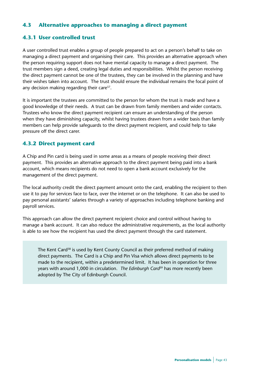# **4.3 Alternative approaches to managing a direct payment**

# **4.3.1 User controlled trust**

A user controlled trust enables a group of people prepared to act on a person's behalf to take on managing a direct payment and organising their care. This provides an alternative approach when the person requiring support does not have mental capacity to manage a direct payment. The trust members sign a deed, creating legal duties and responsibilities. Whilst the person receiving the direct payment cannot be one of the trustees, they can be involved in the planning and have their wishes taken into account. The trust should ensure the individual remains the focal point of any decision making regarding their care<sup>57</sup>.

It is important the trustees are committed to the person for whom the trust is made and have a good knowledge of their needs. A trust can be drawn from family members and wider contacts. Trustees who know the direct payment recipient can ensure an understanding of the person when they have diminishing capacity, whilst having trustees drawn from a wider basis than family members can help provide safeguards to the direct payment recipient, and could help to take pressure off the direct carer.

# **4.3.2 Direct payment card**

A Chip and Pin card is being used in some areas as a means of people receiving their direct payment. This provides an alternative approach to the direct payment being paid into a bank account, which means recipients do not need to open a bank account exclusively for the management of the direct payment.

The local authority credit the direct payment amount onto the card, enabling the recipient to then use it to pay for services face to face, over the internet or on the telephone. It can also be used to pay personal assistants' salaries through a variety of approaches including telephone banking and payroll services.

This approach can allow the direct payment recipient choice and control without having to manage a bank account. It can also reduce the administrative requirements, as the local authority is able to see how the recipient has used the direct payment through the card statement.

The Kent Card<sup>58</sup> is used by Kent County Council as their preferred method of making direct payments. The Card is a Chip and Pin Visa which allows direct payments to be made to the recipient, within a predetermined limit. It has been in operation for three years with around 1,000 in circulation. *The Edinburgh Card*59 has more recently been adopted by The City of Edinburgh Council.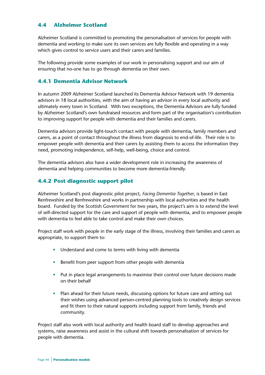# **4.4 Alzheimer Scotland**

Alzheimer Scotland is committed to promoting the personalisation of services for people with dementia and working to make sure its own services are fully flexible and operating in a way which gives control to service users and their carers and families.

The following provide some examples of our work in personalising support and our aim of ensuring that no-one has to go through dementia on their own.

# **4.4.1 Dementia Advisor Network**

In autumn 2009 Alzheimer Scotland launched its Dementia Advisor Network with 19 dementia advisors in 18 local authorities, with the aim of having an advisor in every local authority and ultimately every town in Scotland. With two exceptions, the Dementia Advisors are fully funded by Alzheimer Scotland's own fundraised resources and form part of the organisation's contribution to improving support for people with dementia and their families and carers.

Dementia advisors provide light-touch contact with people with dementia, family members and carers, as a point of contact throughout the illness from diagnosis to end-of-life. Their role is to empower people with dementia and their carers by assisting them to access the information they need, promoting independence, self-help, well-being, choice and control.

The dementia advisors also have a wider development role in increasing the awareness of dementia and helping communities to become more dementia-friendly.

# **4.4.2 Post diagnostic support pilot**

Alzheimer Scotland's post diagnostic pilot project, *Facing Dementia Together*, is based in East Renfrewshire and Renfrewshire and works in partnership with local authorities and the health board. Funded by the Scottish Government for two years, the project's aim is to extend the level of self-directed support for the care and support of people with dementia, and to empower people with dementia to feel able to take control and make their own choices.

Project staff work with people in the early stage of the illness, involving their families and carers as appropriate, to support them to:

- Understand and come to terms with living with dementia
- Benefit from peer support from other people with dementia
- Put in place legal arrangements to maximise their control over future decisions made on their behalf
- Plan ahead for their future needs, discussing options for future care and setting out their wishes using advanced person-centred planning tools to creatively design services and fit them to their natural supports including support from family, friends and community.

Project staff also work with local authority and health board staff to develop approaches and systems, raise awareness and assist in the cultural shift towards personalisation of services for people with dementia.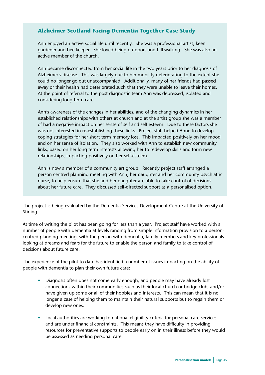# **Alzheimer Scotland Facing Dementia Together Case Study**

Ann enjoyed an active social life until recently. She was a professional artist, keen gardener and bee keeper. She loved being outdoors and hill walking. She was also an active member of the church.

Ann became disconnected from her social life in the two years prior to her diagnosis of Alzheimer's disease. This was largely due to her mobility deteriorating to the extent she could no longer go out unaccompanied. Additionally, many of her friends had passed away or their health had deteriorated such that they were unable to leave their homes. At the point of referral to the post diagnostic team Ann was depressed, isolated and considering long term care.

Ann's awareness of the changes in her abilities, and of the changing dynamics in her established relationships with others at church and at the artist group she was a member of had a negative impact on her sense of self and self esteem. Due to these factors she was not interested in re-establishing these links. Project staff helped Anne to develop coping strategies for her short term memory loss. This impacted positively on her mood and on her sense of isolation. They also worked with Ann to establish new community links, based on her long term interests allowing her to redevelop skills and form new relationships, impacting positively on her self-esteem.

Ann is now a member of a community art group. Recently project staff arranged a person centred planning meeting with Ann, her daughter and her community psychiatric nurse, to help ensure that she and her daughter are able to take control of decisions about her future care. They discussed self-directed support as a personalised option.

The project is being evaluated by the Dementia Services Development Centre at the University of Stirling.

At time of writing the pilot has been going for less than a year. Project staff have worked with a number of people with dementia at levels ranging from simple information provision to a personcentred planning meeting, with the person with dementia, family members and key professionals looking at dreams and fears for the future to enable the person and family to take control of decisions about future care.

The experience of the pilot to date has identified a number of issues impacting on the ability of people with dementia to plan their own future care:

- Diagnosis often does not come early enough, and people may have already lost connections within their communities such as their local church or bridge club, and/or have given up some or all of their hobbies and interests. This can mean that it is no longer a case of helping them to maintain their natural supports but to regain them or develop new ones.
- Local authorities are working to national eligibility criteria for personal care services and are under financial constraints. This means they have difficulty in providing resources for preventative supports to people early on in their illness before they would be assessed as needing personal care.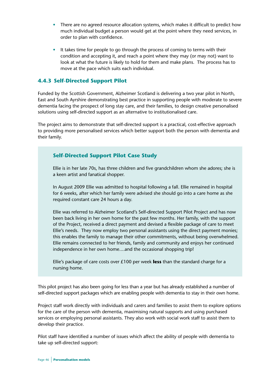- There are no agreed resource allocation systems, which makes it difficult to predict how much individual budget a person would get at the point where they need services, in order to plan with confidence.
- It takes time for people to go through the process of coming to terms with their condition and accepting it, and reach a point where they may (or may not) want to look at what the future is likely to hold for them and make plans. The process has to move at the pace which suits each individual.

# **4.4.3 Self-Directed Support Pilot**

Funded by the Scottish Government, Alzheimer Scotland is delivering a two year pilot in North, East and South Ayrshire demonstrating best practice in supporting people with moderate to severe dementia facing the prospect of long stay care, and their families, to design creative personalised solutions using self-directed support as an alternative to institutionalised care.

The project aims to demonstrate that self-directed support is a practical, cost-effective approach to providing more personalised services which better support both the person with dementia and their family.

# **Self-Directed Support Pilot Case Study**

Ellie is in her late 70s, has three children and five grandchildren whom she adores; she is a keen artist and fanatical shopper.

In August 2009 Ellie was admitted to hospital following a fall. Ellie remained in hospital for 6 weeks, after which her family were advised she should go into a care home as she required constant care 24 hours a day.

Ellie was referred to Alzheimer Scotland's Self-directed Support Pilot Project and has now been back living in her own home for the past few months. Her family, with the support of the Project, received a direct payment and devised a flexible package of care to meet Ellie's needs. They now employ two personal assistants using the direct payment monies; this enables the family to manage their other commitments, without being overwhelmed. Ellie remains connected to her friends, family and community and enjoys her continued independence in her own home....and the occasional shopping trip!

Ellie's package of care costs over £100 per week **less** than the standard charge for a nursing home.

This pilot project has also been going for less than a year but has already established a number of self-directed support packages which are enabling people with dementia to stay in their own home.

Project staff work directly with individuals and carers and families to assist them to explore options for the care of the person with dementia, maximising natural supports and using purchased services or employing personal assistants. They also work with social work staff to assist them to develop their practice.

Pilot staff have identified a number of issues which affect the ability of people with dementia to take up self-directed support: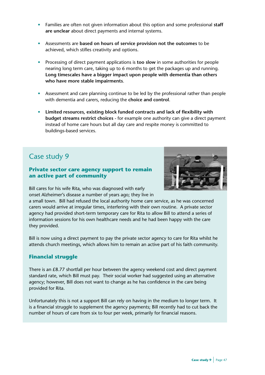- Families are often not given information about this option and some professional **staff are unclear** about direct payments and internal systems.
- Assessments are **based on hours of service provision not the outcomes** to be achieved, which stifles creativity and options.
- Processing of direct payment applications is **too slow** in some authorities for people nearing long term care, taking up to 6 months to get the packages up and running. **Long timescales have a bigger impact upon people with dementia than others who have more stable impairments**.
- Assessment and care planning continue to be led by the professional rather than people with dementia and carers, reducing the **choice and control**.
- **Limited resources, existing block funded contracts and lack of flexibility with budget streams restrict choices** - for example one authority can give a direct payment instead of home care hours but all day care and respite money is committed to buildings-based services.

# **Private sector care agency support to remain an active part of community**



Bill cares for his wife Rita, who was diagnosed with early onset Alzheimer's disease a number of years ago; they live in

a small town. Bill had refused the local authority home care service, as he was concerned carers would arrive at irregular times, interfering with their own routine. A private sector agency had provided short-term temporary care for Rita to allow Bill to attend a series of information sessions for his own healthcare needs and he had been happy with the care they provided.

Bill is now using a direct payment to pay the private sector agency to care for Rita whilst he attends church meetings, which allows him to remain an active part of his faith community.

# **Financial struggle**

There is an £8.77 shortfall per hour between the agency weekend cost and direct payment standard rate, which Bill must pay. Their social worker had suggested using an alternative agency; however, Bill does not want to change as he has confidence in the care being provided for Rita.

Unfortunately this is not a support Bill can rely on having in the medium to longer term. It is a financial struggle to supplement the agency payments; Bill recently had to cut back the number of hours of care from six to four per week, primarily for financial reasons.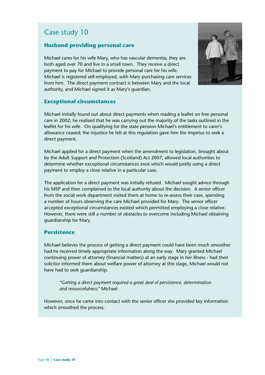## **Husband providing personal care**

Michael cares for his wife Mary, who has vascular dementia; they are both aged over 70 and live in a small town. They receive a direct payment to pay for Michael to provide personal care for his wife. Michael is registered self-employed, with Mary purchasing care services from him. The direct payment contract is between Mary and the local authority, and Michael signed it as Mary's guardian.

## **Exceptional circumstances**

Michael initially found out about direct payments when reading a leaflet on free personal care in 2002; he realised that he was carrying out the majority of the tasks outlined in the leaflet for his wife. On qualifying for the state pension Michael's entitlement to carer's allowance ceased; the injustice he felt at this regulation gave him the impetus to seek a direct payment.

Michael applied for a direct payment when the amendment to legislation, brought about by the Adult Support and Protection (Scotland) Act 2007, allowed local authorities to determine whether exceptional circumstances exist which would justify using a direct payment to employ a close relative in a particular case.

The application for a direct payment was initially refused. Michael sought advice through his MSP and then complained to the local authority about the decision. A senior officer from the social work department visited them at home to re-assess their case, spending a number of hours observing the care Michael provided for Mary. The senior officer accepted exceptional circumstances existed which permitted employing a close relative. However, there were still a number of obstacles to overcome including Michael obtaining guardianship for Mary.

#### **Persistence**

Michael believes the process of getting a direct payment could have been much smoother had he received timely appropriate information along the way. Mary granted Michael continuing power of attorney (financial matters) at an early stage in her illness - had their solicitor informed them about welfare power of attorney at this stage, Michael would not have had to seek guardianship.

*"Getting a direct payment required a great deal of persistence, determination and resourcefulness"* Michael

However, once he came into contact with the senior officer she provided key information which smoothed the process.

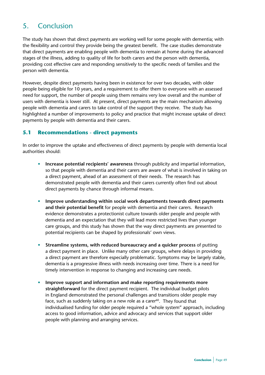# 5. Conclusion

The study has shown that direct payments are working well for some people with dementia; with the flexibility and control they provide being the greatest benefit. The case studies demonstrate that direct payments are enabling people with dementia to remain at home during the advanced stages of the illness, adding to quality of life for both carers and the person with dementia, providing cost effective care and responding sensitively to the specific needs of families and the person with dementia.

However, despite direct payments having been in existence for over two decades, with older people being eligible for 10 years, and a requirement to offer them to everyone with an assessed need for support, the number of people using them remains very low overall and the number of users with dementia is lower still. At present, direct payments are the main mechanism allowing people with dementia and carers to take control of the support they receive. The study has highlighted a number of improvements to policy and practice that might increase uptake of direct payments by people with dementia and their carers.

# **5.1 Recommendations - direct payments**

In order to improve the uptake and effectiveness of direct payments by people with dementia local authorities should:

- **Increase potential recipients' awareness** through publicity and impartial information, so that people with dementia and their carers are aware of what is involved in taking on a direct payment, ahead of an assessment of their needs. The research has demonstrated people with dementia and their carers currently often find out about direct payments by chance through informal means.
- **Improve understanding within social work departments towards direct payments and their potential benefit** for people with dementia and their carers. Research evidence demonstrates a protectionist culture towards older people and people with dementia and an expectation that they will lead more restricted lives than younger care groups, and this study has shown that the way direct payments are presented to potential recipients can be shaped by professionals' own views.
- **Streamline systems, with reduced bureaucracy and a quicker process** of putting a direct payment in place. Unlike many other care groups, where delays in providing a direct payment are therefore especially problematic. Symptoms may be largely stable, dementia is a progressive illness with needs increasing over time. There is a need for timely intervention in response to changing and increasing care needs.
- **Improve support and information and make reporting requirements more straightforward** for the direct payment recipient. The individual budget pilots in England demonstrated the personal challenges and transitions older people may face, such as suddenly taking on a new role as a carer $60$ . They found that individualised funding for older people required a "whole system" approach, including access to good information, advice and advocacy and services that support older people with planning and arranging services.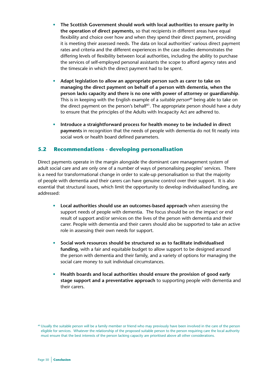- **The Scottish Government should work with local authorities to ensure parity in the operation of direct payments**, so that recipients in different areas have equal flexibility and choice over how and when they spend their direct payment, providing it is meeting their assessed needs. The data on local authorities' various direct payment rates and criteria and the different experiences in the case studies demonstrates the differing levels of flexibility between local authorities, including the ability to purchase the services of self-employed personal assistants the scope to afford agency rates and the timescale in which the direct payment had to be spent.
- **Adapt legislation to allow an appropriate person such as carer to take on managing the direct payment on behalf of a person with dementia, when the person lacks capacity and there is no one with power of attorney or guardianship**. This is in keeping with the English example of a *suitable person*ab being able to take on the direct payment on the person's behalf<sup> $61$ </sup>. The appropriate person should have a duty to ensure that the principles of the Adults with Incapacity Act are adhered to.
- **Introduce a straightforward process for health money to be included in direct payments** in recognition that the needs of people with dementia do not fit neatly into social work or health board defined parameters.

# **5.2 Recommendations - developing personalisation**

Direct payments operate in the margin alongside the dominant care management system of adult social care and are only one of a number of ways of personalising peoples' services. There is a need for transformational change in order to scale-up personalisation so that the majority of people with dementia and their carers can have genuine control over their support. It is also essential that structural issues, which limit the opportunity to develop individualised funding, are addressed:

- **Local authorities should use an outcomes-based approach** when assessing the support needs of people with dementia. The focus should be on the impact or end result of support and/or services on the lives of the person with dementia and their carer. People with dementia and their carers should also be supported to take an active role in assessing their own needs for support.
- **Social work resources should be structured so as to facilitate individualised funding**, with a fair and equitable budget to allow support to be designed around the person with dementia and their family, and a variety of options for managing the social care money to suit individual circumstances.
- **Health boards and local authorities should ensure the provision of good early stage support and a preventative approach** to supporting people with dementia and their carers.

ab Usually the suitable person will be a family member or friend who may previously have been involved in the care of the person eligible for services. Whatever the relationship of the proposed suitable person to the person requiring care the local authority must ensure that the best interests of the person lacking capacity are prioritised above all other considerations.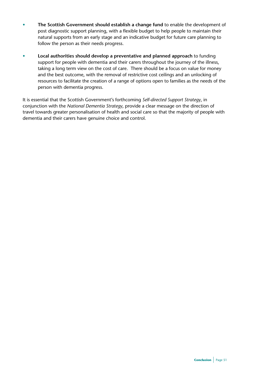- **The Scottish Government should establish a change fund** to enable the development of post diagnostic support planning, with a flexible budget to help people to maintain their natural supports from an early stage and an indicative budget for future care planning to follow the person as their needs progress.
- **Local authorities should develop a preventative and planned approach** to funding support for people with dementia and their carers throughout the journey of the illness, taking a long term view on the cost of care. There should be a focus on value for money and the best outcome, with the removal of restrictive cost ceilings and an unlocking of resources to facilitate the creation of a range of options open to families as the needs of the person with dementia progress.

It is essential that the Scottish Government's forthcoming *Self-directed Support Strategy*, in conjunction with the *National Dementia Strategy*, provide a clear message on the direction of travel towards greater personalisation of health and social care so that the majority of people with dementia and their carers have genuine choice and control.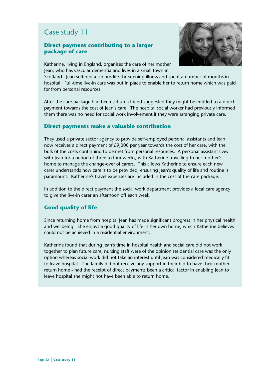## **Direct payment contributing to a larger package of care**



Katherine, living in England, organises the care of her mother Jean, who has vascular dementia and lives in a small town in

Scotland. Jean suffered a serious life-threatening illness and spent a number of months in hospital. Full-time live-in care was put in place to enable her to return home which was paid for from personal resources.

After the care package had been set up a friend suggested they might be entitled to a direct payment towards the cost of Jean's care. The hospital social worker had previously informed them there was no need for social work involvement if they were arranging private care.

## **Direct payments make a valuable contribution**

They used a private sector agency to provide self-employed personal assistants and Jean now receives a direct payment of £9,000 per year towards the cost of her care, with the bulk of the costs continuing to be met from personal resources. A personal assistant lives with Jean for a period of three to four weeks, with Katherine travelling to her mother's home to manage the change-over of carers. This allows Katherine to ensure each new carer understands how care is to be provided; ensuring Jean's quality of life and routine is paramount. Katherine's travel expenses are included in the cost of the care package.

In addition to the direct payment the social work department provides a local care agency to give the live-in carer an afternoon off each week.

# **Good quality of life**

Since returning home from hospital Jean has made significant progress in her physical health and wellbeing. She enjoys a good quality of life in her own home, which Katherine believes could not be achieved in a residential environment.

Katherine found that during Jean's time in hospital health and social care did not work together to plan future care; nursing staff were of the opinion residential care was the only option whereas social work did not take an interest until Jean was considered medically fit to leave hospital. The family did not receive any support in their bid to have their mother return home - had the receipt of direct payments been a critical factor in enabling Jean to leave hospital she might not have been able to return home.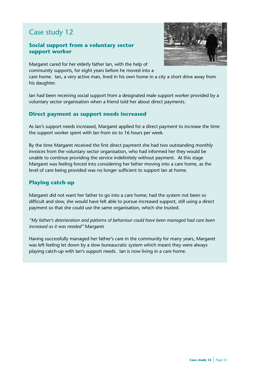# **Social support from a voluntary sector support worker**



Margaret cared for her elderly father Ian, with the help of community supports, for eight years before he moved into a

care home. Ian, a very active man, lived in his own home in a city a short drive away from his daughter.

Ian had been receiving social support from a designated male support worker provided by a voluntary sector organisation when a friend told her about direct payments.

# **Direct payment as support needs increased**

As Ian's support needs increased, Margaret applied for a direct payment to increase the time the support worker spent with Ian from six to 16 hours per week.

By the time Margaret received the first direct payment she had two outstanding monthly invoices from the voluntary sector organisation, who had informed her they would be unable to continue providing the service indefinitely without payment. At this stage Margaret was feeling forced into considering her father moving into a care home, as the level of care being provided was no longer sufficient to support Ian at home.

# **Playing catch-up**

Margaret did not want her father to go into a care home; had the system not been so difficult and slow, she would have felt able to pursue increased support, still using a direct payment so that she could use the same organisation, which she trusted.

*"My father's deterioration and patterns of behaviour could have been managed had care been increased as it was needed"* Margaret

Having successfully managed her father's care in the community for many years, Margaret was left feeling let down by a slow bureaucratic system which meant they were always playing catch-up with Ian's support needs. Ian is now living in a care home.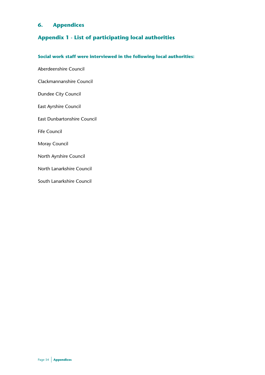# **6. Appendices**

# **Appendix 1 - List of participating local authorities**

# **Social work staff were interviewed in the following local authorities:**

Aberdeenshire Council Clackmannanshire Council Dundee City Council East Ayrshire Council East Dunbartonshire Council Fife Council Moray Council North Ayrshire Council North Lanarkshire Council South Lanarkshire Council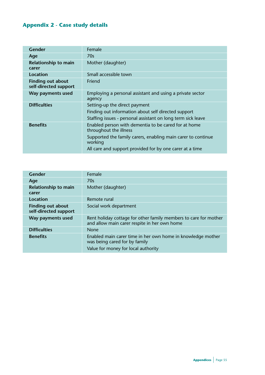# **Appendix 2 - Case study details**

| <b>Gender</b>                                     | Female                                                                                                                                                                                                                |
|---------------------------------------------------|-----------------------------------------------------------------------------------------------------------------------------------------------------------------------------------------------------------------------|
| Age                                               | 70s                                                                                                                                                                                                                   |
| <b>Relationship to main</b><br>carer              | Mother (daughter)                                                                                                                                                                                                     |
| Location                                          | Small accessible town                                                                                                                                                                                                 |
| <b>Finding out about</b><br>self-directed support | Friend                                                                                                                                                                                                                |
| Way payments used                                 | Employing a personal assistant and using a private sector<br>agency                                                                                                                                                   |
| <b>Difficulties</b>                               | Setting-up the direct payment<br>Finding out information about self directed support<br>Staffing issues - personal assistant on long term sick leave                                                                  |
| <b>Benefits</b>                                   | Enabled person with dementia to be cared for at home<br>throughout the illness<br>Supported the family carers, enabling main carer to continue<br>working<br>All care and support provided for by one carer at a time |

| Gender                                            | Female                                                                                                                              |
|---------------------------------------------------|-------------------------------------------------------------------------------------------------------------------------------------|
| Age                                               | 70s                                                                                                                                 |
| Relationship to main<br>carer                     | Mother (daughter)                                                                                                                   |
| Location                                          | Remote rural                                                                                                                        |
| <b>Finding out about</b><br>self-directed support | Social work department                                                                                                              |
| Way payments used                                 | Rent holiday cottage for other family members to care for mother<br>and allow main carer respite in her own home                    |
| <b>Difficulties</b>                               | <b>None</b>                                                                                                                         |
| <b>Benefits</b>                                   | Enabled main carer time in her own home in knowledge mother<br>was being cared for by family<br>Value for money for local authority |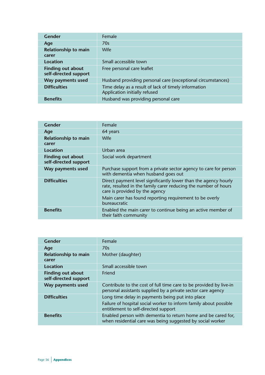| Gender                                            | Female                                                                                |
|---------------------------------------------------|---------------------------------------------------------------------------------------|
| Age                                               | 70s                                                                                   |
| Relationship to main<br>carer                     | Wife                                                                                  |
| Location                                          | Small accessible town                                                                 |
| <b>Finding out about</b><br>self-directed support | Free personal care leaflet                                                            |
| Way payments used                                 | Husband providing personal care (exceptional circumstances)                           |
| <b>Difficulties</b>                               | Time delay as a result of lack of timely information<br>Application initially refused |
| <b>Benefits</b>                                   | Husband was providing personal care                                                   |

| Gender                                            | Female                                                                                                                                                                                                                                          |
|---------------------------------------------------|-------------------------------------------------------------------------------------------------------------------------------------------------------------------------------------------------------------------------------------------------|
| Age                                               | 64 years                                                                                                                                                                                                                                        |
| Relationship to main<br>carer                     | Wife                                                                                                                                                                                                                                            |
| Location                                          | Urban area                                                                                                                                                                                                                                      |
| <b>Finding out about</b><br>self-directed support | Social work department                                                                                                                                                                                                                          |
| Way payments used                                 | Purchase support from a private sector agency to care for person<br>with dementia when husband goes out                                                                                                                                         |
| <b>Difficulties</b>                               | Direct payment level significantly lower than the agency hourly<br>rate, resulted in the family carer reducing the number of hours<br>care is provided by the agency<br>Main carer has found reporting requirement to be overly<br>bureaucratic |
| <b>Benefits</b>                                   | Enabled the main carer to continue being an active member of<br>their faith community                                                                                                                                                           |

| Gender                                            | Female                                                                                                                                                        |
|---------------------------------------------------|---------------------------------------------------------------------------------------------------------------------------------------------------------------|
| Age                                               | 70s                                                                                                                                                           |
| Relationship to main<br>carer                     | Mother (daughter)                                                                                                                                             |
| Location                                          | Small accessible town                                                                                                                                         |
| <b>Finding out about</b><br>self-directed support | Friend                                                                                                                                                        |
| Way payments used                                 | Contribute to the cost of full time care to be provided by live-in<br>personal assistants supplied by a private sector care agency                            |
| <b>Difficulties</b>                               | Long time delay in payments being put into place<br>Failure of hospital social worker to inform family about possible<br>entitlement to self-directed support |
| <b>Benefits</b>                                   | Enabled person with dementia to return home and be cared for,<br>when residential care was being suggested by social worker                                   |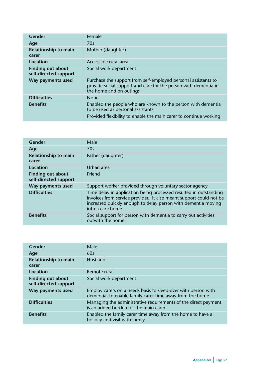| Gender                                            | Female                                                                                                                                                                 |
|---------------------------------------------------|------------------------------------------------------------------------------------------------------------------------------------------------------------------------|
| Age                                               | 70s                                                                                                                                                                    |
| Relationship to main<br>carer                     | Mother (daughter)                                                                                                                                                      |
| Location                                          | Accessible rural area                                                                                                                                                  |
| <b>Finding out about</b><br>self-directed support | Social work department                                                                                                                                                 |
| Way payments used                                 | Purchase the support from self-employed personal assistants to<br>provide social support and care for the person with dementia in<br>the home and on outings           |
| <b>Difficulties</b>                               | <b>None</b>                                                                                                                                                            |
| <b>Benefits</b>                                   | Enabled the people who are known to the person with dementia<br>to be used as personal assistants<br>Provided flexibility to enable the main carer to continue working |

| Gender                                            | Male                                                                                                                                                                                                                         |
|---------------------------------------------------|------------------------------------------------------------------------------------------------------------------------------------------------------------------------------------------------------------------------------|
| Age                                               | 70s                                                                                                                                                                                                                          |
| Relationship to main<br>carer                     | Father (daughter)                                                                                                                                                                                                            |
| Location                                          | Urban area                                                                                                                                                                                                                   |
| <b>Finding out about</b><br>self-directed support | Friend                                                                                                                                                                                                                       |
| Way payments used                                 | Support worker provided through voluntary sector agency                                                                                                                                                                      |
| <b>Difficulties</b>                               | Time delay in application being processed resulted in outstanding<br>invoices from service provider. It also meant support could not be<br>increased quickly enough to delay person with dementia moving<br>into a care home |
| <b>Benefits</b>                                   | Social support for person with dementia to carry out activities<br>outwith the home                                                                                                                                          |

| Gender                                            | Male                                                                                                                      |
|---------------------------------------------------|---------------------------------------------------------------------------------------------------------------------------|
| Age                                               | 60s                                                                                                                       |
| <b>Relationship to main</b><br>carer              | <b>Husband</b>                                                                                                            |
| Location                                          | Remote rural                                                                                                              |
| <b>Finding out about</b><br>self-directed support | Social work department                                                                                                    |
| Way payments used                                 | Employ carers on a needs basis to sleep-over with person with<br>dementia, to enable family carer time away from the home |
| <b>Difficulties</b>                               | Managing the administrative requirements of the direct payment<br>is an added burden for the main carer                   |
| <b>Benefits</b>                                   | Enabled the family carer time away from the home to have a<br>holiday and visit with family                               |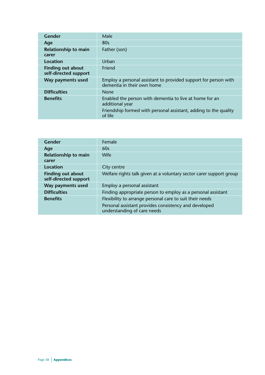| Gender                                            | Male                                                                                          |
|---------------------------------------------------|-----------------------------------------------------------------------------------------------|
| Age                                               | 80s                                                                                           |
| Relationship to main<br>carer                     | Father (son)                                                                                  |
| Location                                          | <b>Urban</b>                                                                                  |
| <b>Finding out about</b><br>self-directed support | Friend                                                                                        |
| Way payments used                                 | Employ a personal assistant to provided support for person with<br>dementia in their own home |
| <b>Difficulties</b>                               | <b>None</b>                                                                                   |
| <b>Benefits</b>                                   | Enabled the person with dementia to live at home for an<br>additional year                    |
|                                                   | Friendship formed with personal assistant, adding to the quality<br>of life                   |

| Gender                                     | Female                                                                               |
|--------------------------------------------|--------------------------------------------------------------------------------------|
| Age                                        | 60s                                                                                  |
| Relationship to main<br>carer              | Wife                                                                                 |
| Location                                   | City centre                                                                          |
| Finding out about<br>self-directed support | Welfare rights talk given at a voluntary sector carer support group                  |
| Way payments used                          | Employ a personal assistant                                                          |
| <b>Difficulties</b>                        | Finding appropriate person to employ as a personal assistant                         |
| <b>Benefits</b>                            | Flexibility to arrange personal care to suit their needs                             |
|                                            | Personal assistant provides consistency and developed<br>understanding of care needs |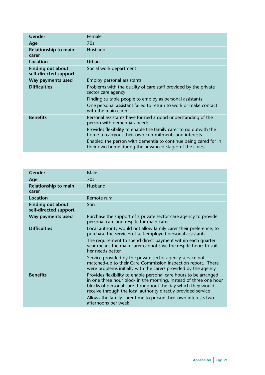| Gender                                            | Female                                                                                                                                                                                                                                                                                                                                                  |
|---------------------------------------------------|---------------------------------------------------------------------------------------------------------------------------------------------------------------------------------------------------------------------------------------------------------------------------------------------------------------------------------------------------------|
| Age                                               | 70s                                                                                                                                                                                                                                                                                                                                                     |
| Relationship to main<br>carer                     | Husband                                                                                                                                                                                                                                                                                                                                                 |
| Location                                          | Urban                                                                                                                                                                                                                                                                                                                                                   |
| <b>Finding out about</b><br>self-directed support | Social work department                                                                                                                                                                                                                                                                                                                                  |
| Way payments used                                 | Employ personal assistants                                                                                                                                                                                                                                                                                                                              |
| <b>Difficulties</b>                               | Problems with the quality of care staff provided by the private<br>sector care agency<br>Finding suitable people to employ as personal assistants<br>One personal assistant failed to return to work or make contact<br>with the main carer                                                                                                             |
| <b>Benefits</b>                                   | Personal assistants have formed a good understanding of the<br>person with dementia's needs<br>Provides flexibility to enable the family carer to go outwith the<br>home to carryout their own commitments and interests<br>Enabled the person with dementia to continue being cared for in<br>their own home during the advanced stages of the illness |

| <b>Gender</b>                                     | Male                                                                                                                                                                                                                                                                   |
|---------------------------------------------------|------------------------------------------------------------------------------------------------------------------------------------------------------------------------------------------------------------------------------------------------------------------------|
| Age                                               | 70s                                                                                                                                                                                                                                                                    |
| Relationship to main<br>carer                     | <b>Husband</b>                                                                                                                                                                                                                                                         |
| <b>Location</b>                                   | Remote rural                                                                                                                                                                                                                                                           |
| <b>Finding out about</b><br>self-directed support | Son                                                                                                                                                                                                                                                                    |
| Way payments used                                 | Purchase the support of a private sector care agency to provide<br>personal care and respite for main carer                                                                                                                                                            |
| <b>Difficulties</b>                               | Local authority would not allow family carer their preference, to<br>purchase the services of self-employed personal assistants                                                                                                                                        |
|                                                   | The requirement to spend direct payment within each quarter<br>year means the main carer cannot save the respite hours to suit<br>her needs better                                                                                                                     |
|                                                   | Service provided by the private sector agency service not<br>matched-up to their Care Commission inspection report. There<br>were problems initially with the carers provided by the agency                                                                            |
| <b>Benefits</b>                                   | Provides flexibility to enable personal care hours to be arranged<br>in one three hour block in the morning, instead of three one hour<br>blocks of personal care throughout the day which they would<br>receive through the local authority directly provided service |
|                                                   | Allows the family carer time to pursue their own interests two<br>afternoons per week                                                                                                                                                                                  |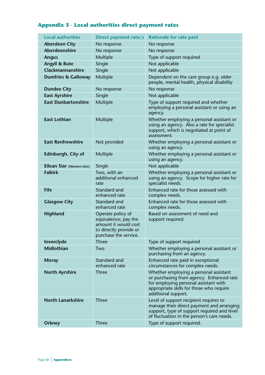# **Appendix 3 - Local authorities direct payment rates**

| <b>Local authorities</b>       | Direct payment rate/s                                                                                                | <b>Rationale for rate paid</b>                                                                                                                                                                 |
|--------------------------------|----------------------------------------------------------------------------------------------------------------------|------------------------------------------------------------------------------------------------------------------------------------------------------------------------------------------------|
| <b>Aberdeen City</b>           | No response                                                                                                          | No response                                                                                                                                                                                    |
| <b>Aberdeenshire</b>           | No response                                                                                                          | No response                                                                                                                                                                                    |
| <b>Angus</b>                   | Multiple                                                                                                             | Type of support required                                                                                                                                                                       |
| <b>Argyll &amp; Bute</b>       | Single                                                                                                               | Not applicable                                                                                                                                                                                 |
| Clackmannanshire               | Single                                                                                                               | Not applicable                                                                                                                                                                                 |
| <b>Dumfries &amp; Galloway</b> | Multiple                                                                                                             | Dependent on the care group e.g. older<br>people, mental health, physical disability                                                                                                           |
| <b>Dundee City</b>             | No response                                                                                                          | No response                                                                                                                                                                                    |
| <b>East Ayrshire</b>           | Single                                                                                                               | Not applicable                                                                                                                                                                                 |
| <b>East Dunbartonshire</b>     | Multiple                                                                                                             | Type of support required and whether<br>employing a personal assistant or using an<br>agency.                                                                                                  |
| <b>East Lothian</b>            | Multiple                                                                                                             | Whether employing a personal assistant or<br>using an agency. Also a rate for specialist<br>support, which is negotiated at point of<br>assessment.                                            |
| <b>East Renfrewshire</b>       | Not provided                                                                                                         | Whether employing a personal assistant or<br>using an agency.                                                                                                                                  |
| Edinburgh, City of             | Multiple                                                                                                             | Whether employing a personal assistant or<br>using an agency.                                                                                                                                  |
| Eilean Siar (Western Isles)    | Single                                                                                                               | Not applicable                                                                                                                                                                                 |
| <b>Falkirk</b>                 | Two, with an<br>additional enhanced<br>rate                                                                          | Whether employing a personal assistant or<br>using an agency. Scope for higher rate for<br>specialist needs.                                                                                   |
| <b>Fife</b>                    | Standard and<br>enhanced rate                                                                                        | Enhanced rate for those assessed with<br>complex needs.                                                                                                                                        |
| <b>Glasgow City</b>            | Standard and<br>enhanced rate                                                                                        | Enhanced rate for those assessed with<br>complex needs.                                                                                                                                        |
| Highland                       | Operate policy of<br>equivalence; pay the<br>amount it would cost<br>to directly provide or<br>purchase the service. | Based on assessment of need and<br>support required.                                                                                                                                           |
| Inverclyde                     | <b>Three</b>                                                                                                         | Type of support required                                                                                                                                                                       |
| Midlothian                     | Two                                                                                                                  | Whether employing a personal assistant or<br>purchasing from an agency.                                                                                                                        |
| <b>Moray</b>                   | Standard and<br>enhanced rate                                                                                        | Enhanced rate paid in exceptional<br>circumstances for complex needs.                                                                                                                          |
| <b>North Ayrshire</b>          | <b>Three</b>                                                                                                         | Whether employing a personal assistant<br>or purchasing from agency. Enhanced rate<br>for employing personal assistant with<br>appropriate skills for those who require<br>additional support. |
| <b>North Lanarkshire</b>       | <b>Three</b>                                                                                                         | Level of support recipient requires to<br>manage their direct payment and arranging<br>support, type of support required and level<br>of fluctuation in the person's care needs.               |
| <b>Orkney</b>                  | <b>Three</b>                                                                                                         | Type of support required.                                                                                                                                                                      |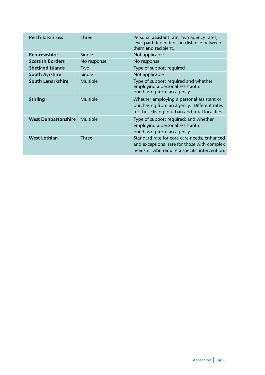| <b>Perth &amp; Kinross</b> | Three        | Personal assistant rate; two agency rates,<br>level paid dependent on distance between<br>them and recipient.                               |
|----------------------------|--------------|---------------------------------------------------------------------------------------------------------------------------------------------|
| <b>Renfrewshire</b>        | Single       | Not applicable                                                                                                                              |
| <b>Scottish Borders</b>    | No response  | No response                                                                                                                                 |
| <b>Shetland Islands</b>    | Two          | Type of support required                                                                                                                    |
| <b>South Ayrshire</b>      | Single       | Not applicable                                                                                                                              |
| <b>South Lanarkshire</b>   | Multiple     | Type of support required and whether<br>employing a personal assistant or<br>purchasing from an agency.                                     |
| <b>Stirling</b>            | Multiple     | Whether employing a personal assistant or<br>purchasing from an agency. Different rates<br>for those living in urban and rural localities.  |
| <b>West Dunbartonshire</b> | Multiple     | Type of support required; and whether<br>employing a personal assistant or<br>purchasing from an agency.                                    |
| <b>West Lothian</b>        | <b>Three</b> | Standard rate for core care needs, enhanced<br>and exceptional rate for those with complex<br>needs or who require a specific intervention. |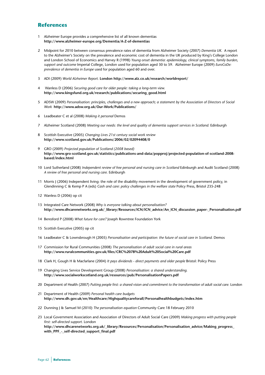#### **References**

- 1 Alzheimer Europe provides a comprehensive list of all known dementias **http://www.alzheimer-europe.org/Dementia/A-Z-of-dementias**
- 2 Midpoint for 2010 between consensus prevalence rates of dementia from Alzheimer Society (2007) *Dementia UK*. A report to the Alzheimer's Society on the prevalence and economic cost of dementia in the UK produced by King's College London and London School of Economics and Harvey R (1998) *Young onset dementia: epidemiology, clinical symptoms, family burden, support and outcome* Imperial College, London used for population aged 30 to 59. Alzheimer Europe (2009) *EuroCoDe: prevalence of dementia in Europe* used for population aged 60 and over.
- 3 ADI (2009) *World Alzheimer Report.* **London http://www.alz.co.uk/research/worldreport/**
- 4 Wanless D (2006) *Securing good care for older people: taking a long-term view.* **http://www.kingsfund.org.uk/research/publications/securing\_good.html**
- 5 ADSW (2009) *Personalisation: principles, challenges and a new approach; a statement by the Association of Directors of Social Work* **http://www.adsw.org.uk/Our-Work/Publications/**
- 6 Leadbeater C et al (2008) *Making it personal* Demos
- 7 Alzheimer Scotland (2008) *Meeting our needs: the level and quality of dementia support services in Scotland.* Edinburgh
- 8 Scottish Executive (2005) *Changing Lives 21st century social work review* **http://www.scotland.gov.uk/Publications/2006/02/02094408/0**
- 9 GRO (2009) *Projected population of Scotland (2008 based)* **http://www.gro-scotland.gov.uk/statistics/publications-and-data/popproj/projected-population-of-scotland-2008 based/index.html**
- 10 Lord Sutherland (2008) *Independent review of free personal and nursing care in Scotland* Edinburgh and Audit Scotland (2008) *A review of free personal and nursing care.* Edinburgh
- 11 Morris J (2006) Independent living: the role of the disability movement in the development of government policy, in Glendinning C & Kemp P A (eds) *Cash and care: policy challenges in the welfare state* Policy Press, Bristol 235-248
- 12 Wanless D (2006) op cit
- 13 Integrated Care Network (2008) *Why is everyone talking about personalisation?* **http://www.dhcarenetworks.org.uk/\_library/Resources/ICN/ICN\_advice/An\_ICN\_discussion\_paper-\_Personalisation.pdf**
- 14 Beresford P (2008) *What future for care?* Joseph Rowntree Foundation York
- 15 Scottish Executive (2005) op cit
- 16 Leadbeater C & Lownsbrough H (2005) *Personalisation and participation: the future of social care in Scotland.* Demos
- 17 Commission for Rural Communities (2008) *The personalisation of adult social care in rural areas* **http://www.ruralcommunities.gov.uk/files/CRC%2078%20Adult%20Social%20Care.pdf**
- 18 Clark H, Gough H & Macfarlane (2004) *It pays dividends direct payments and older people* Bristol: Policy Press
- 19 Changing Lives Service Development Group (2008) *Personalisation: a shared understanding.* **http://www.socialworkscotland.org.uk/resources/pub/PersonalisationPapers.pdf**
- 20 Department of Health (2007) *Putting people first: a shared vision and commitment to the transformation of adult social care.* London
- 21 Department of Health (2009) *Personal health care budgets* **http://www.dh.gov.uk/en/Healthcare/Highqualitycareforall/Personalhealthbudgets/index.htm**
- 22 Dunning J & Samuel M (2010) *The personalisation equation* Community Care 18 February 2010
- 23 Local Government Association and Association of Directors of Adult Social Care (2009) *Making progress with putting people first: self-directed support.* London **http://www.dhcarenetworks.org.uk/\_library/Resources/Personalisation/Personalisation\_advice/Making\_progress\_** with PPF - self-directed support final.pdf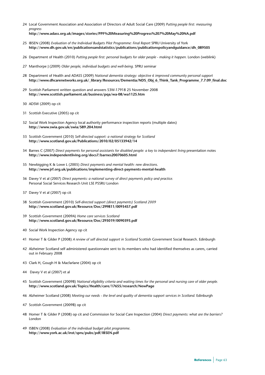- 24 Local Government Association and Association of Directors of Adult Social Care (2009) *Putting people first: measuring progress* **http://www.adass.org.uk/images/stories/PPF%20Measuring%20Progress%207%20May%20NA.pdf**
- 25 IBSEN (2008) *Evaluation of the Individual Budgets Pilot Programme: Final Report* SPRU University of York **http://www.dh.gov.uk/en/publicationsandstatistics/publications/publicationspolicyandguidance/dh\_089505**
- 26 Department of Health (2010) *Putting people first: personal budgets for older people making it happen.* London (weblink)
- 27 Manthorpe J (2009) *Older people, individual budgets and well-being.* SPRU seminar
- 28 Department of Health and ADASS (2009) *National dementia strategy: objective 6 improved community personal support* **http://www.dhcarenetworks.org.uk/\_library/Resources/Dementia/NDS\_Obj\_6\_Think\_Tank\_Programme\_7.7.09\_final.doc**
- 29 Scottish Parliament written question and answers S3W-17918 25 November 2008 **http://www.scottish.parliament.uk/business/pqa/wa-08/wa1125.htm**
- 30 ADSW (2009) op cit
- 31 Scottish Executive (2005) op cit
- 32 Social Work Inspection Agency local authority performance inspection reports (multiple dates) **http://www.swia.gov.uk/swia/589.204.html**
- 33 Scottish Government (2010) *Self-directed support: a national strategy for Scotland* **http://www.scotland.gov.uk/Publications/2010/02/05133942/14**
- 34 Barnes C (2007) *Direct payments for personal assistants for disabled people: a key to independent living* presentation notes **http://www.independentliving.org/docs7/barnes20070605.html**
- 35 Newbigging K & Lowe L (2005) *Direct payments and mental health: new directions*. **http://www.jrf.org.uk/publications/implementing-direct-payments-mental-health**
- 36 Davey V et al (2007) *Direct payments: a national survey of direct payments policy and practice.* Personal Social Services Research Unit LSE PSSRU London
- 37 Davey V et al (2007) op cit
- 38 Scottish Government (2010) *Self-directed support (direct payments) Scotland 2009* **http://www.scotland.gov.uk/Resource/Doc/299811/0093457.pdf**
- 39 Scottish Government (2009A) *Home care services Scotland* **http://www.scotland.gov.uk/Resource/Doc/293019/0090393.pdf**
- 40 Social Work Inspection Agency op cit
- 41 Homer T & Gilder P (2008) *A review of self directed support in Scotland* Scottish Government Social Research. Edinburgh
- 42 Alzheimer Scotland self administered questionnaire sent to its members who had identified themselves as carers, carried out in February 2008
- 43 Clark H, Gough H & Macfarlane (2004) op cit
- 44 Davey V et al (2007) et al
- 45 Scottish Government (2009B) *National eligibility criteria and waiting times for the personal and nursing care of older people.* **http://www.scotland.gov.uk/Topics/Health/care/17655/research/NewPage**
- 46 Alzheimer Scotland (2008) *Meeting our needs the level and quality of dementia support services in Scotland.* Edinburgh
- 47 Scottish Government (2009B) op cit
- 48 Homer T & Gilder P (2008) op cit and Commission for Social Care Inspection (2004) *Direct payments: what are the barriers?* London
- 49 ISBEN (2008) *Evaluation of the individual budget pilot programme*. **http://www.york.ac.uk/inst/spru/pubs/pdf/IBSEN.pdf**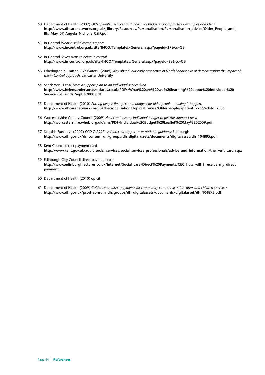- 50 Department of Health (2007) *Older people's services and individual budgets: good practice examples and ideas*. **http://www.dhcarenetworks.org.uk/\_library/Resources/Personalisation/Personalisation\_advice/Older\_People\_and\_ IBs\_May\_07\_Angela\_Nicholls\_CSIP.pdf**
- 51 In Control *What is self-directed support* **http://www.incontrol.org.uk/site/INCO/Templates/General.aspx?pageid=37&cc=GB**
- 52 In Control *Seven steps to being in control* **http://www.in-control.org.uk/site/INCO/Templates/General.aspx?pageid=38&cc=GB**
- 53 Etherington K, Hatton C & Waters J (2009) *Way ahead: our early experience in North Lanarkshire of demonstrating the impact of the in Control approach.* Lancaster University
- 54 Sanderson H et al *From a support plan to an individual service fund* **http://www.helensandersonassociates.co.uk/PDFs/What%20are%20we%20learning%20about%20Individual%20 Service%20Funds\_Sept%2008.pdf**
- 55 Department of Health (2010) *Putting people first: personal budgets for older people making it happen*. **http://www.dhcarenetworks.org.uk/Personalisation/Topics/Browse/Olderpeople/?parent=2736&child=7085**
- 56 Worcestershire County Council (2009) *How can I use my individual budget to get the support I need* **http://worcestershire.whub.org.uk/cms/PDF/Individual%20Budget%20Leaflet%20May%202009.pdf**
- 57 Scottish Executive (2007) *CCD 7/2007: self-directed support new national guidance* Edinburgh **http://www.dh.gov.uk/dr\_consum\_dh/groups/dh\_digitalassets/documents/digitalasset/dh\_104895.pdf**
- 58 Kent Council direct payment card **http://www.kent.gov.uk/adult\_social\_services/social\_services\_professionals/advice\_and\_information/the\_kent\_card.aspx**
- 59 Edinburgh City Council direct payment card **http://www.edinburghlectures.co.uk/internet/Social\_care/Direct%20Payments/CEC\_how\_will\_i\_receive\_my\_direct\_ payment\_**
- 60 Department of Health (2010) op cit
- 61 Department of Health (2009) *Guidance on direct payments for community care, services for carers and children's services* **http://www.dh.gov.uk/prod\_consum\_dh/groups/dh\_digitalassets/documents/digitalasset/dh\_104895.pdf**